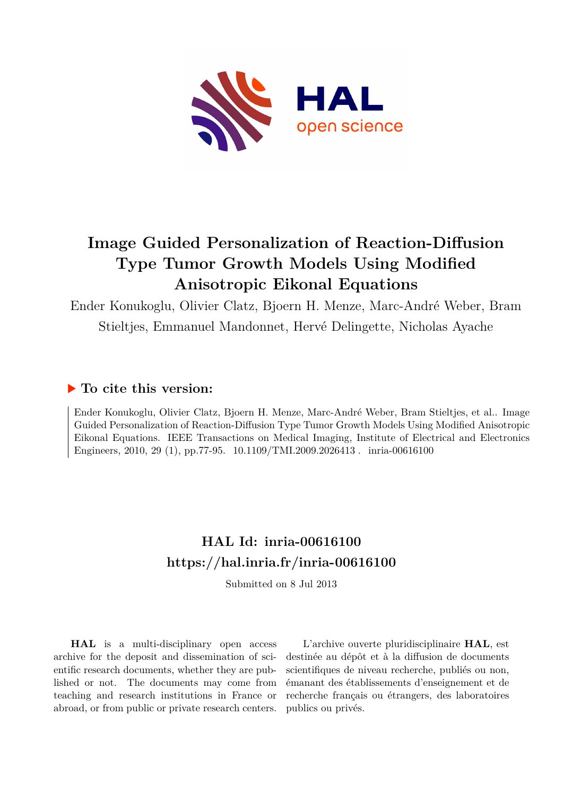

## **Image Guided Personalization of Reaction-Diffusion Type Tumor Growth Models Using Modified Anisotropic Eikonal Equations**

Ender Konukoglu, Olivier Clatz, Bjoern H. Menze, Marc-André Weber, Bram Stieltjes, Emmanuel Mandonnet, Hervé Delingette, Nicholas Ayache

### **To cite this version:**

Ender Konukoglu, Olivier Clatz, Bjoern H. Menze, Marc-André Weber, Bram Stieltjes, et al.. Image Guided Personalization of Reaction-Diffusion Type Tumor Growth Models Using Modified Anisotropic Eikonal Equations. IEEE Transactions on Medical Imaging, Institute of Electrical and Electronics Engineers, 2010, 29 (1), pp.77-95.  $10.1109/TML.2009.2026413$ . inria-00616100

## **HAL Id: inria-00616100 <https://hal.inria.fr/inria-00616100>**

Submitted on 8 Jul 2013

**HAL** is a multi-disciplinary open access archive for the deposit and dissemination of scientific research documents, whether they are published or not. The documents may come from teaching and research institutions in France or abroad, or from public or private research centers.

L'archive ouverte pluridisciplinaire **HAL**, est destinée au dépôt et à la diffusion de documents scientifiques de niveau recherche, publiés ou non, émanant des établissements d'enseignement et de recherche français ou étrangers, des laboratoires publics ou privés.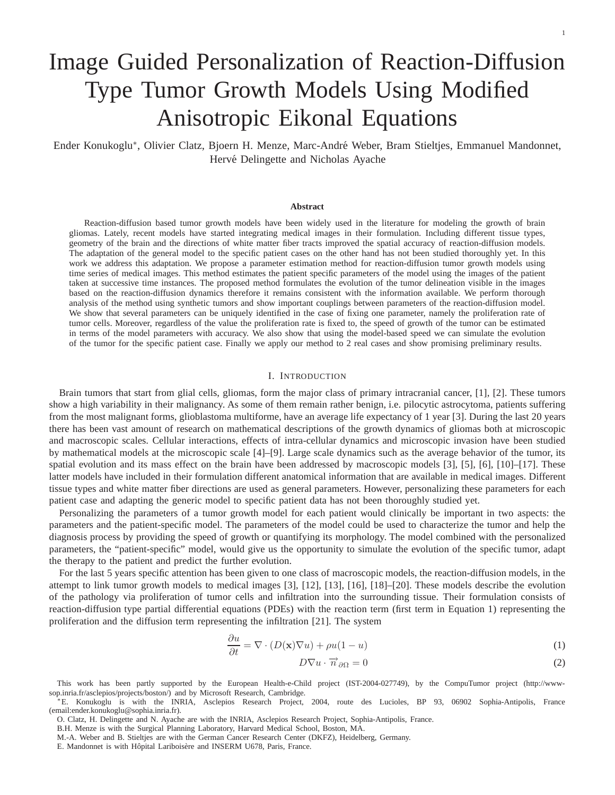# Image Guided Personalization of Reaction-Diffusion Type Tumor Growth Models Using Modified Anisotropic Eikonal Equations

Ender Konukoglu<sup>∗</sup>, Olivier Clatz, Bjoern H. Menze, Marc-André Weber, Bram Stieltjes, Emmanuel Mandonnet, Hervé Delingette and Nicholas Ayache

#### **Abstract**

Reaction-diffusion based tumor growth models have been widely used in the literature for modeling the growth of brain gliomas. Lately, recent models have started integrating medical images in their formulation. Including different tissue types, geometry of the brain and the directions of white matter fiber tracts improved the spatial accuracy of reaction-diffusion models. The adaptation of the general model to the specific patient cases on the other hand has not been studied thoroughly yet. In this work we address this adaptation. We propose a parameter estimation method for reaction-diffusion tumor growth models using time series of medical images. This method estimates the patient specific parameters of the model using the images of the patient taken at successive time instances. The proposed method formulates the evolution of the tumor delineation visible in the images based on the reaction-diffusion dynamics therefore it remains consistent with the information available. We perform thorough analysis of the method using synthetic tumors and show important couplings between parameters of the reaction-diffusion model. We show that several parameters can be uniquely identified in the case of fixing one parameter, namely the proliferation rate of tumor cells. Moreover, regardless of the value the proliferation rate is fixed to, the speed of growth of the tumor can be estimated in terms of the model parameters with accuracy. We also show that using the model-based speed we can simulate the evolution of the tumor for the specific patient case. Finally we apply our method to 2 real cases and show promising preliminary results.

#### I. INTRODUCTION

Brain tumors that start from glial cells, gliomas, form the major class of primary intracranial cancer, [1], [2]. These tumors show a high variability in their malignancy. As some of them remain rather benign, i.e. pilocytic astrocytoma, patients suffering from the most malignant forms, glioblastoma multiforme, have an average life expectancy of 1 year [3]. During the last 20 years there has been vast amount of research on mathematical descriptions of the growth dynamics of gliomas both at microscopic and macroscopic scales. Cellular interactions, effects of intra-cellular dynamics and microscopic invasion have been studied by mathematical models at the microscopic scale [4]–[9]. Large scale dynamics such as the average behavior of the tumor, its spatial evolution and its mass effect on the brain have been addressed by macroscopic models [3], [5], [6], [10]–[17]. These latter models have included in their formulation different anatomical information that are available in medical images. Different tissue types and white matter fiber directions are used as general parameters. However, personalizing these parameters for each patient case and adapting the generic model to specific patient data has not been thoroughly studied yet.

Personalizing the parameters of a tumor growth model for each patient would clinically be important in two aspects: the parameters and the patient-specific model. The parameters of the model could be used to characterize the tumor and help the diagnosis process by providing the speed of growth or quantifying its morphology. The model combined with the personalized parameters, the "patient-specific" model, would give us the opportunity to simulate the evolution of the specific tumor, adapt the therapy to the patient and predict the further evolution.

For the last 5 years specific attention has been given to one class of macroscopic models, the reaction-diffusion models, in the attempt to link tumor growth models to medical images [3], [12], [13], [16], [18]–[20]. These models describe the evolution of the pathology via proliferation of tumor cells and infiltration into the surrounding tissue. Their formulation consists of reaction-diffusion type partial differential equations (PDEs) with the reaction term (first term in Equation 1) representing the proliferation and the diffusion term representing the infiltration [21]. The system

$$
\frac{\partial u}{\partial t} = \nabla \cdot (D(\mathbf{x}) \nabla u) + \rho u (1 - u)
$$
\n(1)

$$
D\nabla u \cdot \vec{n}_{\partial\Omega} = 0\tag{2}
$$

This work has been partly supported by the European Health-e-Child project (IST-2004-027749), by the CompuTumor project (http://wwwsop.inria.fr/asclepios/projects/boston/) and by Microsoft Research, Cambridge.

E. Mandonnet is with Hôpital Lariboisère and INSERM U678, Paris, France.

<sup>∗</sup>E. Konukoglu is with the INRIA, Asclepios Research Project, 2004, route des Lucioles, BP 93, 06902 Sophia-Antipolis, France (email:ender.konukoglu@sophia.inria.fr).

O. Clatz, H. Delingette and N. Ayache are with the INRIA, Asclepios Research Project, Sophia-Antipolis, France.

B.H. Menze is with the Surgical Planning Laboratory, Harvard Medical School, Boston, MA.

M.-A. Weber and B. Stieltjes are with the German Cancer Research Center (DKFZ), Heidelberg, Germany.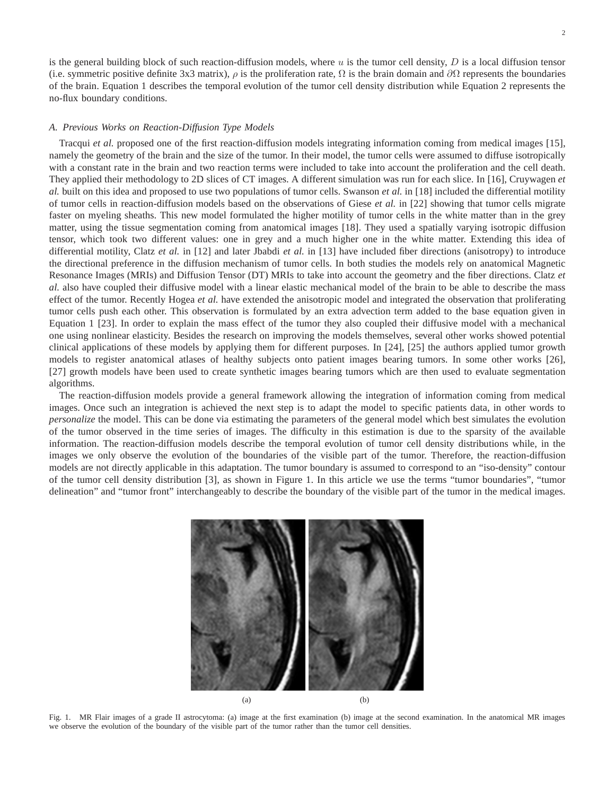2

is the general building block of such reaction-diffusion models, where u is the tumor cell density,  $D$  is a local diffusion tensor (i.e. symmetric positive definite 3x3 matrix),  $\rho$  is the proliferation rate,  $\Omega$  is the brain domain and  $\partial\Omega$  represents the boundaries of the brain. Equation 1 describes the temporal evolution of the tumor cell density distribution while Equation 2 represents the no-flux boundary conditions.

#### *A. Previous Works on Reaction-Diffusion Type Models*

Tracqui *et al.* proposed one of the first reaction-diffusion models integrating information coming from medical images [15], namely the geometry of the brain and the size of the tumor. In their model, the tumor cells were assumed to diffuse isotropically with a constant rate in the brain and two reaction terms were included to take into account the proliferation and the cell death. They applied their methodology to 2D slices of CT images. A different simulation was run for each slice. In [16], Cruywagen *et al.* built on this idea and proposed to use two populations of tumor cells. Swanson *et al.* in [18] included the differential motility of tumor cells in reaction-diffusion models based on the observations of Giese *et al.* in [22] showing that tumor cells migrate faster on myeling sheaths. This new model formulated the higher motility of tumor cells in the white matter than in the grey matter, using the tissue segmentation coming from anatomical images [18]. They used a spatially varying isotropic diffusion tensor, which took two different values: one in grey and a much higher one in the white matter. Extending this idea of differential motility, Clatz *et al.* in [12] and later Jbabdi *et al.* in [13] have included fiber directions (anisotropy) to introduce the directional preference in the diffusion mechanism of tumor cells. In both studies the models rely on anatomical Magnetic Resonance Images (MRIs) and Diffusion Tensor (DT) MRIs to take into account the geometry and the fiber directions. Clatz *et al.* also have coupled their diffusive model with a linear elastic mechanical model of the brain to be able to describe the mass effect of the tumor. Recently Hogea *et al.* have extended the anisotropic model and integrated the observation that proliferating tumor cells push each other. This observation is formulated by an extra advection term added to the base equation given in Equation 1 [23]. In order to explain the mass effect of the tumor they also coupled their diffusive model with a mechanical one using nonlinear elasticity. Besides the research on improving the models themselves, several other works showed potential clinical applications of these models by applying them for different purposes. In [24], [25] the authors applied tumor growth models to register anatomical atlases of healthy subjects onto patient images bearing tumors. In some other works [26], [27] growth models have been used to create synthetic images bearing tumors which are then used to evaluate segmentation algorithms.

The reaction-diffusion models provide a general framework allowing the integration of information coming from medical images. Once such an integration is achieved the next step is to adapt the model to specific patients data, in other words to *personalize* the model. This can be done via estimating the parameters of the general model which best simulates the evolution of the tumor observed in the time series of images. The difficulty in this estimation is due to the sparsity of the available information. The reaction-diffusion models describe the temporal evolution of tumor cell density distributions while, in the images we only observe the evolution of the boundaries of the visible part of the tumor. Therefore, the reaction-diffusion models are not directly applicable in this adaptation. The tumor boundary is assumed to correspond to an "iso-density" contour of the tumor cell density distribution [3], as shown in Figure 1. In this article we use the terms "tumor boundaries", "tumor delineation" and "tumor front" interchangeably to describe the boundary of the visible part of the tumor in the medical images.



Fig. 1. MR Flair images of a grade II astrocytoma: (a) image at the first examination (b) image at the second examination. In the anatomical MR images we observe the evolution of the boundary of the visible part of the tumor rather than the tumor cell densities.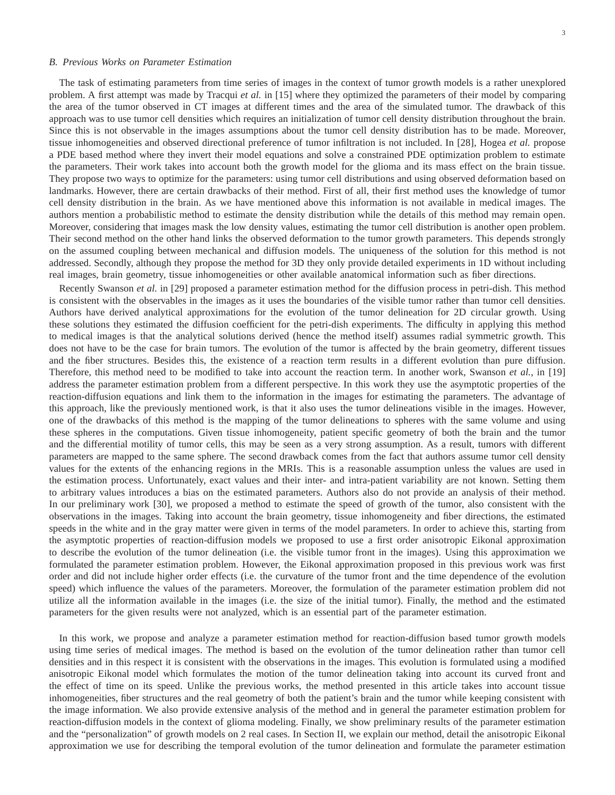3

The task of estimating parameters from time series of images in the context of tumor growth models is a rather unexplored problem. A first attempt was made by Tracqui *et al.* in [15] where they optimized the parameters of their model by comparing the area of the tumor observed in CT images at different times and the area of the simulated tumor. The drawback of this approach was to use tumor cell densities which requires an initialization of tumor cell density distribution throughout the brain. Since this is not observable in the images assumptions about the tumor cell density distribution has to be made. Moreover, tissue inhomogeneities and observed directional preference of tumor infiltration is not included. In [28], Hogea *et al.* propose a PDE based method where they invert their model equations and solve a constrained PDE optimization problem to estimate the parameters. Their work takes into account both the growth model for the glioma and its mass effect on the brain tissue. They propose two ways to optimize for the parameters: using tumor cell distributions and using observed deformation based on landmarks. However, there are certain drawbacks of their method. First of all, their first method uses the knowledge of tumor cell density distribution in the brain. As we have mentioned above this information is not available in medical images. The authors mention a probabilistic method to estimate the density distribution while the details of this method may remain open. Moreover, considering that images mask the low density values, estimating the tumor cell distribution is another open problem. Their second method on the other hand links the observed deformation to the tumor growth parameters. This depends strongly on the assumed coupling between mechanical and diffusion models. The uniqueness of the solution for this method is not addressed. Secondly, although they propose the method for 3D they only provide detailed experiments in 1D without including real images, brain geometry, tissue inhomogeneities or other available anatomical information such as fiber directions.

Recently Swanson *et al.* in [29] proposed a parameter estimation method for the diffusion process in petri-dish. This method is consistent with the observables in the images as it uses the boundaries of the visible tumor rather than tumor cell densities. Authors have derived analytical approximations for the evolution of the tumor delineation for 2D circular growth. Using these solutions they estimated the diffusion coefficient for the petri-dish experiments. The difficulty in applying this method to medical images is that the analytical solutions derived (hence the method itself) assumes radial symmetric growth. This does not have to be the case for brain tumors. The evolution of the tumor is affected by the brain geometry, different tissues and the fiber structures. Besides this, the existence of a reaction term results in a different evolution than pure diffusion. Therefore, this method need to be modified to take into account the reaction term. In another work, Swanson *et al.*, in [19] address the parameter estimation problem from a different perspective. In this work they use the asymptotic properties of the reaction-diffusion equations and link them to the information in the images for estimating the parameters. The advantage of this approach, like the previously mentioned work, is that it also uses the tumor delineations visible in the images. However, one of the drawbacks of this method is the mapping of the tumor delineations to spheres with the same volume and using these spheres in the computations. Given tissue inhomogeneity, patient specific geometry of both the brain and the tumor and the differential motility of tumor cells, this may be seen as a very strong assumption. As a result, tumors with different parameters are mapped to the same sphere. The second drawback comes from the fact that authors assume tumor cell density values for the extents of the enhancing regions in the MRIs. This is a reasonable assumption unless the values are used in the estimation process. Unfortunately, exact values and their inter- and intra-patient variability are not known. Setting them to arbitrary values introduces a bias on the estimated parameters. Authors also do not provide an analysis of their method. In our preliminary work [30], we proposed a method to estimate the speed of growth of the tumor, also consistent with the observations in the images. Taking into account the brain geometry, tissue inhomogeneity and fiber directions, the estimated speeds in the white and in the gray matter were given in terms of the model parameters. In order to achieve this, starting from the asymptotic properties of reaction-diffusion models we proposed to use a first order anisotropic Eikonal approximation to describe the evolution of the tumor delineation (i.e. the visible tumor front in the images). Using this approximation we formulated the parameter estimation problem. However, the Eikonal approximation proposed in this previous work was first order and did not include higher order effects (i.e. the curvature of the tumor front and the time dependence of the evolution speed) which influence the values of the parameters. Moreover, the formulation of the parameter estimation problem did not utilize all the information available in the images (i.e. the size of the initial tumor). Finally, the method and the estimated parameters for the given results were not analyzed, which is an essential part of the parameter estimation.

In this work, we propose and analyze a parameter estimation method for reaction-diffusion based tumor growth models using time series of medical images. The method is based on the evolution of the tumor delineation rather than tumor cell densities and in this respect it is consistent with the observations in the images. This evolution is formulated using a modified anisotropic Eikonal model which formulates the motion of the tumor delineation taking into account its curved front and the effect of time on its speed. Unlike the previous works, the method presented in this article takes into account tissue inhomogeneities, fiber structures and the real geometry of both the patient's brain and the tumor while keeping consistent with the image information. We also provide extensive analysis of the method and in general the parameter estimation problem for reaction-diffusion models in the context of glioma modeling. Finally, we show preliminary results of the parameter estimation and the "personalization" of growth models on 2 real cases. In Section II, we explain our method, detail the anisotropic Eikonal approximation we use for describing the temporal evolution of the tumor delineation and formulate the parameter estimation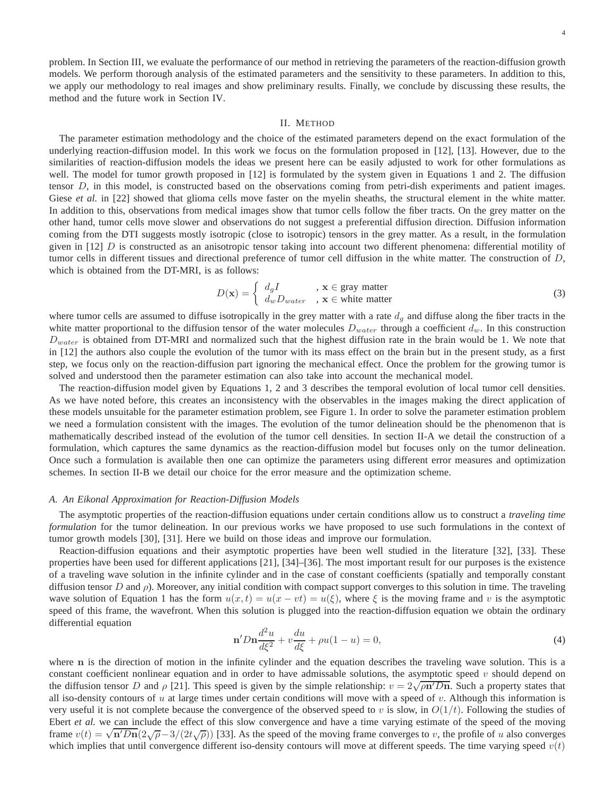problem. In Section III, we evaluate the performance of our method in retrieving the parameters of the reaction-diffusion growth models. We perform thorough analysis of the estimated parameters and the sensitivity to these parameters. In addition to this, we apply our methodology to real images and show preliminary results. Finally, we conclude by discussing these results, the method and the future work in Section IV.

#### II. METHOD

The parameter estimation methodology and the choice of the estimated parameters depend on the exact formulation of the underlying reaction-diffusion model. In this work we focus on the formulation proposed in [12], [13]. However, due to the similarities of reaction-diffusion models the ideas we present here can be easily adjusted to work for other formulations as well. The model for tumor growth proposed in [12] is formulated by the system given in Equations 1 and 2. The diffusion tensor D, in this model, is constructed based on the observations coming from petri-dish experiments and patient images. Giese *et al.* in [22] showed that glioma cells move faster on the myelin sheaths, the structural element in the white matter. In addition to this, observations from medical images show that tumor cells follow the fiber tracts. On the grey matter on the other hand, tumor cells move slower and observations do not suggest a preferential diffusion direction. Diffusion information coming from the DTI suggests mostly isotropic (close to isotropic) tensors in the grey matter. As a result, in the formulation given in [12]  $D$  is constructed as an anisotropic tensor taking into account two different phenomena: differential motility of tumor cells in different tissues and directional preference of tumor cell diffusion in the white matter. The construction of D, which is obtained from the DT-MRI, is as follows:

$$
D(\mathbf{x}) = \begin{cases} d_g I, & \mathbf{x} \in \text{gray matter} \\ d_w D_{water}, & \mathbf{x} \in \text{white matter} \end{cases}
$$
 (3)

where tumor cells are assumed to diffuse isotropically in the grey matter with a rate  $d<sub>q</sub>$  and diffuse along the fiber tracts in the white matter proportional to the diffusion tensor of the water molecules  $D_{water}$  through a coefficient  $d_w$ . In this construction  $D_{water}$  is obtained from DT-MRI and normalized such that the highest diffusion rate in the brain would be 1. We note that in [12] the authors also couple the evolution of the tumor with its mass effect on the brain but in the present study, as a first step, we focus only on the reaction-diffusion part ignoring the mechanical effect. Once the problem for the growing tumor is solved and understood then the parameter estimation can also take into account the mechanical model.

The reaction-diffusion model given by Equations 1, 2 and 3 describes the temporal evolution of local tumor cell densities. As we have noted before, this creates an inconsistency with the observables in the images making the direct application of these models unsuitable for the parameter estimation problem, see Figure 1. In order to solve the parameter estimation problem we need a formulation consistent with the images. The evolution of the tumor delineation should be the phenomenon that is mathematically described instead of the evolution of the tumor cell densities. In section II-A we detail the construction of a formulation, which captures the same dynamics as the reaction-diffusion model but focuses only on the tumor delineation. Once such a formulation is available then one can optimize the parameters using different error measures and optimization schemes. In section II-B we detail our choice for the error measure and the optimization scheme.

#### *A. An Eikonal Approximation for Reaction-Diffusion Models*

The asymptotic properties of the reaction-diffusion equations under certain conditions allow us to construct a *traveling time formulation* for the tumor delineation. In our previous works we have proposed to use such formulations in the context of tumor growth models [30], [31]. Here we build on those ideas and improve our formulation.

Reaction-diffusion equations and their asymptotic properties have been well studied in the literature [32], [33]. These properties have been used for different applications [21], [34]–[36]. The most important result for our purposes is the existence of a traveling wave solution in the infinite cylinder and in the case of constant coefficients (spatially and temporally constant diffusion tensor D and  $\rho$ ). Moreover, any initial condition with compact support converges to this solution in time. The traveling wave solution of Equation 1 has the form  $u(x, t) = u(x - vt) = u(\xi)$ , where  $\xi$  is the moving frame and v is the asymptotic speed of this frame, the wavefront. When this solution is plugged into the reaction-diffusion equation we obtain the ordinary differential equation

$$
\mathbf{n}'D\mathbf{n}\frac{d^2u}{d\xi^2} + v\frac{du}{d\xi} + \rho u(1-u) = 0,\tag{4}
$$

where n is the direction of motion in the infinite cylinder and the equation describes the traveling wave solution. This is a constant coefficient nonlinear equation and in order to have admissable solutions, the asymptotic speed  $v$  should depend on the diffusion tensor D and  $\rho$  [21]. This speed is given by the simple relationship:  $v = 2\sqrt{\rho n'Dn}$ . Such a property states that all iso-density contours of  $u$  at large times under certain conditions will move with a speed of  $v$ . Although this information is very useful it is not complete because the convergence of the observed speed to v is slow, in  $O(1/t)$ . Following the studies of Ebert *et al.* we can include the effect of this slow convergence and have a time varying estimate of the speed of the moving frame  $v(t) = \sqrt{\mathbf{n}'D\mathbf{n}}(2\sqrt{\rho} - 3/(2t\sqrt{\rho}))$  [33]. As the speed of the moving frame converges to v, the profile of u also converges which implies that until convergence different iso-density contours will move at different speeds. The time varying speed  $v(t)$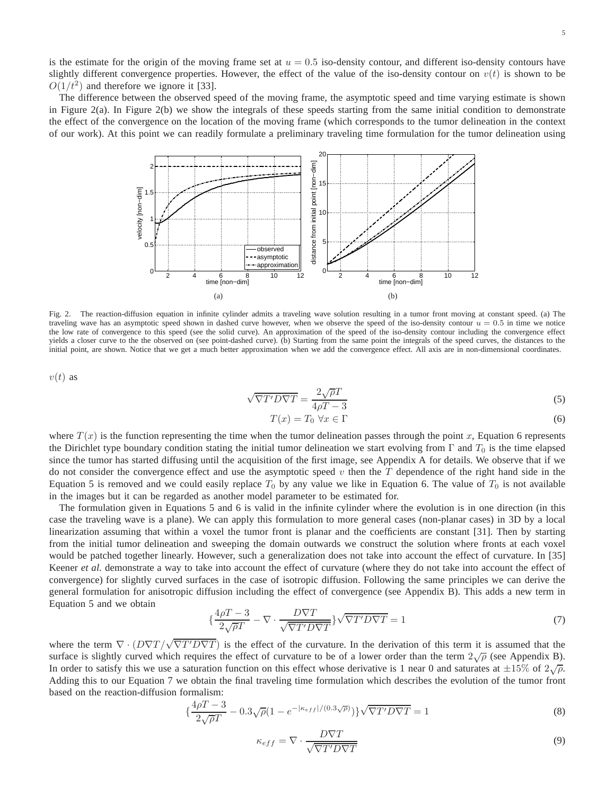is the estimate for the origin of the moving frame set at  $u = 0.5$  iso-density contour, and different iso-density contours have slightly different convergence properties. However, the effect of the value of the iso-density contour on  $v(t)$  is shown to be  $O(1/t^2)$  and therefore we ignore it [33].

The difference between the observed speed of the moving frame, the asymptotic speed and time varying estimate is shown in Figure 2(a). In Figure 2(b) we show the integrals of these speeds starting from the same initial condition to demonstrate the effect of the convergence on the location of the moving frame (which corresponds to the tumor delineation in the context of our work). At this point we can readily formulate a preliminary traveling time formulation for the tumor delineation using



Fig. 2. The reaction-diffusion equation in infinite cylinder admits a traveling wave solution resulting in a tumor front moving at constant speed. (a) The traveling wave has an asymptotic speed shown in dashed curve however, when we observe the speed of the iso-density contour  $u = 0.5$  in time we notice the low rate of convergence to this speed (see the solid curve). An approximation of the speed of the iso-density contour including the convergence effect yields a closer curve to the the observed on (see point-dashed curve). (b) Starting from the same point the integrals of the speed curves, the distances to the initial point, are shown. Notice that we get a much better approximation when we add the convergence effect. All axis are in non-dimensional coordinates.

√

{

 $v(t)$  as

$$
\sqrt{\nabla T'D\nabla T} = \frac{2\sqrt{\rho}T}{4\rho T - 3}
$$
\n(5)

$$
T(x) = T_0 \forall x \in \Gamma \tag{6}
$$

where  $T(x)$  is the function representing the time when the tumor delineation passes through the point x, Equation 6 represents the Dirichlet type boundary condition stating the initial tumor delineation we start evolving from Γ and  $T_0$  is the time elapsed since the tumor has started diffusing until the acquisition of the first image, see Appendix A for details. We observe that if we do not consider the convergence effect and use the asymptotic speed  $v$  then the  $T$  dependence of the right hand side in the Equation 5 is removed and we could easily replace  $T_0$  by any value we like in Equation 6. The value of  $T_0$  is not available in the images but it can be regarded as another model parameter to be estimated for.

The formulation given in Equations 5 and 6 is valid in the infinite cylinder where the evolution is in one direction (in this case the traveling wave is a plane). We can apply this formulation to more general cases (non-planar cases) in 3D by a local linearization assuming that within a voxel the tumor front is planar and the coefficients are constant [31]. Then by starting from the initial tumor delineation and sweeping the domain outwards we construct the solution where fronts at each voxel would be patched together linearly. However, such a generalization does not take into account the effect of curvature. In [35] Keener *et al.* demonstrate a way to take into account the effect of curvature (where they do not take into account the effect of convergence) for slightly curved surfaces in the case of isotropic diffusion. Following the same principles we can derive the general formulation for anisotropic diffusion including the effect of convergence (see Appendix B). This adds a new term in Equation 5 and we obtain

$$
\left\{\frac{4\rho T - 3}{2\sqrt{\rho}T} - \nabla \cdot \frac{D\nabla T}{\sqrt{\nabla T'D\nabla T}}\right\} \sqrt{\nabla T'D\nabla T} = 1\tag{7}
$$

where the term  $\nabla \cdot (D\nabla T/\sqrt{\nabla T'D\nabla T})$  is the effect of the curvature. In the derivation of this term it is assumed that the surface is slightly curved which requires the effect of curvature to be of a lower order than the term  $2\sqrt{\rho}$  (see Appendix B). In order to satisfy this we use a saturation function on this effect whose derivative is 1 near 0 and saturates at  $\pm 15\%$  of  $2\sqrt{\rho}$ . Adding this to our Equation 7 we obtain the final traveling time formulation which describes the evolution of the tumor front based on the reaction-diffusion formalism:

$$
\frac{4\rho T - 3}{2\sqrt{\rho}T} - 0.3\sqrt{\rho}(1 - e^{-|\kappa_{eff}|/(0.3\sqrt{\rho})})\}\sqrt{\nabla T'D\nabla T} = 1
$$
\n(8)

$$
\kappa_{eff} = \nabla \cdot \frac{D\nabla T}{\sqrt{\nabla T' D \nabla T}}\tag{9}
$$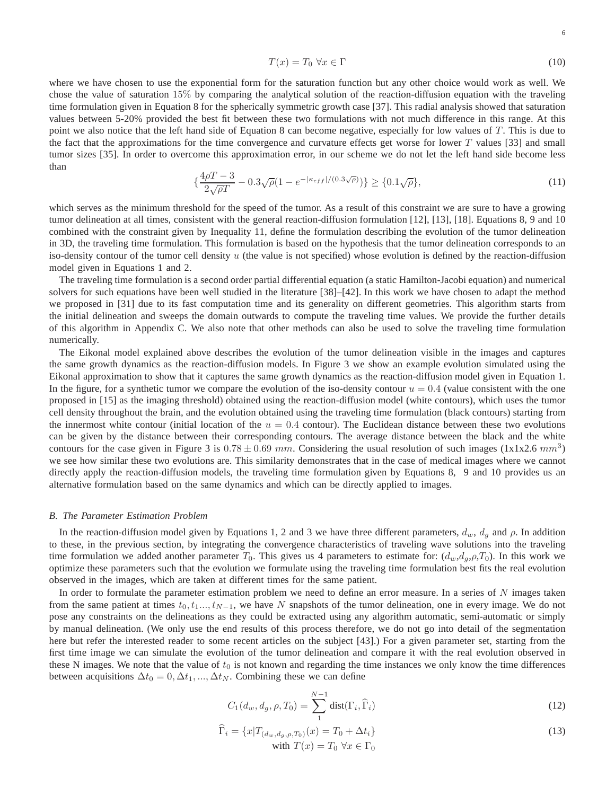$$
T(x) = T_0 \,\,\forall x \in \Gamma \tag{10}
$$

where we have chosen to use the exponential form for the saturation function but any other choice would work as well. We chose the value of saturation 15% by comparing the analytical solution of the reaction-diffusion equation with the traveling time formulation given in Equation 8 for the spherically symmetric growth case [37]. This radial analysis showed that saturation values between 5-20% provided the best fit between these two formulations with not much difference in this range. At this point we also notice that the left hand side of Equation 8 can become negative, especially for low values of  $T$ . This is due to the fact that the approximations for the time convergence and curvature effects get worse for lower  $T$  values [33] and small tumor sizes [35]. In order to overcome this approximation error, in our scheme we do not let the left hand side become less than

$$
\left\{\frac{4\rho T - 3}{2\sqrt{\rho}T} - 0.3\sqrt{\rho}(1 - e^{-|\kappa_{eff}|/(0.3\sqrt{\rho})})\right\} \ge \{0.1\sqrt{\rho}\},\tag{11}
$$

which serves as the minimum threshold for the speed of the tumor. As a result of this constraint we are sure to have a growing tumor delineation at all times, consistent with the general reaction-diffusion formulation [12], [13], [18]. Equations 8, 9 and 10 combined with the constraint given by Inequality 11, define the formulation describing the evolution of the tumor delineation in 3D, the traveling time formulation. This formulation is based on the hypothesis that the tumor delineation corresponds to an iso-density contour of the tumor cell density  $u$  (the value is not specified) whose evolution is defined by the reaction-diffusion model given in Equations 1 and 2.

The traveling time formulation is a second order partial differential equation (a static Hamilton-Jacobi equation) and numerical solvers for such equations have been well studied in the literature [38]–[42]. In this work we have chosen to adapt the method we proposed in [31] due to its fast computation time and its generality on different geometries. This algorithm starts from the initial delineation and sweeps the domain outwards to compute the traveling time values. We provide the further details of this algorithm in Appendix C. We also note that other methods can also be used to solve the traveling time formulation numerically.

The Eikonal model explained above describes the evolution of the tumor delineation visible in the images and captures the same growth dynamics as the reaction-diffusion models. In Figure 3 we show an example evolution simulated using the Eikonal approximation to show that it captures the same growth dynamics as the reaction-diffusion model given in Equation 1. In the figure, for a synthetic tumor we compare the evolution of the iso-density contour  $u = 0.4$  (value consistent with the one proposed in [15] as the imaging threshold) obtained using the reaction-diffusion model (white contours), which uses the tumor cell density throughout the brain, and the evolution obtained using the traveling time formulation (black contours) starting from the innermost white contour (initial location of the  $u = 0.4$  contour). The Euclidean distance between these two evolutions can be given by the distance between their corresponding contours. The average distance between the black and the white contours for the case given in Figure 3 is  $0.78 \pm 0.69$  mm. Considering the usual resolution of such images (1x1x2.6 mm<sup>3</sup>) we see how similar these two evolutions are. This similarity demonstrates that in the case of medical images where we cannot directly apply the reaction-diffusion models, the traveling time formulation given by Equations 8, 9 and 10 provides us an alternative formulation based on the same dynamics and which can be directly applied to images.

#### *B. The Parameter Estimation Problem*

In the reaction-diffusion model given by Equations 1, 2 and 3 we have three different parameters,  $d_w$ ,  $d_a$  and  $\rho$ . In addition to these, in the previous section, by integrating the convergence characteristics of traveling wave solutions into the traveling time formulation we added another parameter  $T_0$ . This gives us 4 parameters to estimate for:  $(d_w, d_q, \rho, T_0)$ . In this work we optimize these parameters such that the evolution we formulate using the traveling time formulation best fits the real evolution observed in the images, which are taken at different times for the same patient.

In order to formulate the parameter estimation problem we need to define an error measure. In a series of  $N$  images taken from the same patient at times  $t_0, t_1, \ldots, t_{N-1}$ , we have N snapshots of the tumor delineation, one in every image. We do not pose any constraints on the delineations as they could be extracted using any algorithm automatic, semi-automatic or simply by manual delineation. (We only use the end results of this process therefore, we do not go into detail of the segmentation here but refer the interested reader to some recent articles on the subject [43].) For a given parameter set, starting from the first time image we can simulate the evolution of the tumor delineation and compare it with the real evolution observed in these N images. We note that the value of  $t_0$  is not known and regarding the time instances we only know the time differences between acquisitions  $\Delta t_0 = 0, \Delta t_1, ..., \Delta t_N$ . Combining these we can define

$$
C_1(d_w, d_g, \rho, T_0) = \sum_{1}^{N-1} \text{dist}(\Gamma_i, \widehat{\Gamma}_i)
$$
\n(12)

$$
\widehat{\Gamma}_i = \{x | T_{(d_w, d_g, \rho, T_0)}(x) = T_0 + \Delta t_i \}
$$
\n
$$
\text{with } T(x) = T_0 \,\forall x \in \Gamma_0 \tag{13}
$$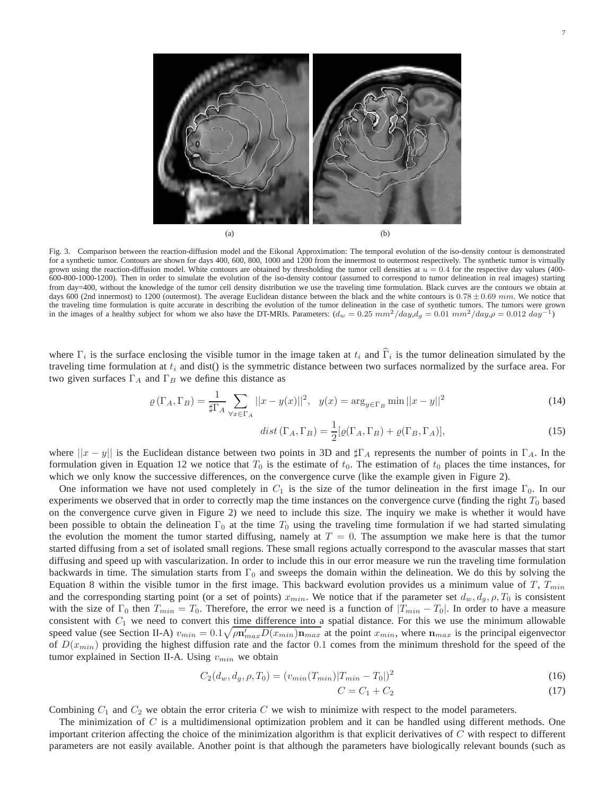

Fig. 3. Comparison between the reaction-diffusion model and the Eikonal Approximation: The temporal evolution of the iso-density contour is demonstrated for a synthetic tumor. Contours are shown for days 400, 600, 800, 1000 and 1200 from the innermost to outermost respectively. The synthetic tumor is virtually grown using the reaction-diffusion model. White contours are obtained by thresholding the tumor cell densities at  $u = 0.4$  for the respective day values (400-600-800-1000-1200). Then in order to simulate the evolution of the iso-density contour (assumed to correspond to tumor delineation in real images) starting from day=400, without the knowledge of the tumor cell density distribution we use the traveling time formulation. Black curves are the contours we obtain at days 600 (2nd innermost) to 1200 (outermost). The average Euclidean distance between the black and the white contours is  $0.78 \pm 0.69$  mm. We notice that the traveling time formulation is quite accurate in describing the evolution of the tumor delineation in the case of synthetic tumors. The tumors were grown in the images of a healthy subject for whom we also have the DT-MRIs. Parameters:  $(d_w = 0.25 \, mm^2/day dq = 0.01 \, mm^2/day$ ,  $\rho = 0.012 \, day^{-1}$ )

where  $\Gamma_i$  is the surface enclosing the visible tumor in the image taken at  $t_i$  and  $\Gamma_i$  is the tumor delineation simulated by the traveling time formulation at  $t_i$  and dist() is the symmetric distance between two surfaces normalized by the surface area. For two given surfaces  $\Gamma_A$  and  $\Gamma_B$  we define this distance as

$$
\varrho(\Gamma_A, \Gamma_B) = \frac{1}{\sharp \Gamma_A} \sum_{\forall x \in \Gamma_A} ||x - y(x)||^2, \ \ y(x) = \arg_{y \in \Gamma_B} \min ||x - y||^2 \tag{14}
$$

$$
dist(\Gamma_A, \Gamma_B) = \frac{1}{2} [\varrho(\Gamma_A, \Gamma_B) + \varrho(\Gamma_B, \Gamma_A)], \qquad (15)
$$

where  $||x - y||$  is the Euclidean distance between two points in 3D and  $\sharp \Gamma_A$  represents the number of points in  $\Gamma_A$ . In the formulation given in Equation 12 we notice that  $T_0$  is the estimate of  $t_0$ . The estimation of  $t_0$  places the time instances, for which we only know the successive differences, on the convergence curve (like the example given in Figure 2).

One information we have not used completely in  $C_1$  is the size of the tumor delineation in the first image  $\Gamma_0$ . In our experiments we observed that in order to correctly map the time instances on the convergence curve (finding the right  $T_0$  based on the convergence curve given in Figure 2) we need to include this size. The inquiry we make is whether it would have been possible to obtain the delineation  $\Gamma_0$  at the time  $T_0$  using the traveling time formulation if we had started simulating the evolution the moment the tumor started diffusing, namely at  $T = 0$ . The assumption we make here is that the tumor started diffusing from a set of isolated small regions. These small regions actually correspond to the avascular masses that start diffusing and speed up with vascularization. In order to include this in our error measure we run the traveling time formulation backwards in time. The simulation starts from  $\Gamma_0$  and sweeps the domain within the delineation. We do this by solving the Equation 8 within the visible tumor in the first image. This backward evolution provides us a minimum value of  $T$ ,  $T_{min}$ and the corresponding starting point (or a set of points)  $x_{min}$ . We notice that if the parameter set  $d_w, d_q, \rho, T_0$  is consistent with the size of  $\Gamma_0$  then  $T_{min} = T_0$ . Therefore, the error we need is a function of  $|T_{min} - T_0|$ . In order to have a measure consistent with  $C_1$  we need to convert this time difference into a spatial distance. For this we use the minimum allowable speed value (see Section II-A)  $v_{min} = 0.1 \sqrt{\rho n'_{max} D(x_{min}) n_{max}}$  at the point  $x_{min}$ , where  $n_{max}$  is the principal eigenvector of  $D(x_{min})$  providing the highest diffusion rate and the factor 0.1 comes from the minimum threshold for the speed of the tumor explained in Section II-A. Using  $v_{min}$  we obtain

$$
C_2(d_w, d_g, \rho, T_0) = (v_{min}(T_{min})|T_{min} - T_0|)^2
$$
\n(16)

$$
C = C_1 + C_2 \tag{17}
$$

Combining  $C_1$  and  $C_2$  we obtain the error criteria C we wish to minimize with respect to the model parameters.

The minimization of  $C$  is a multidimensional optimization problem and it can be handled using different methods. One important criterion affecting the choice of the minimization algorithm is that explicit derivatives of  $C$  with respect to different parameters are not easily available. Another point is that although the parameters have biologically relevant bounds (such as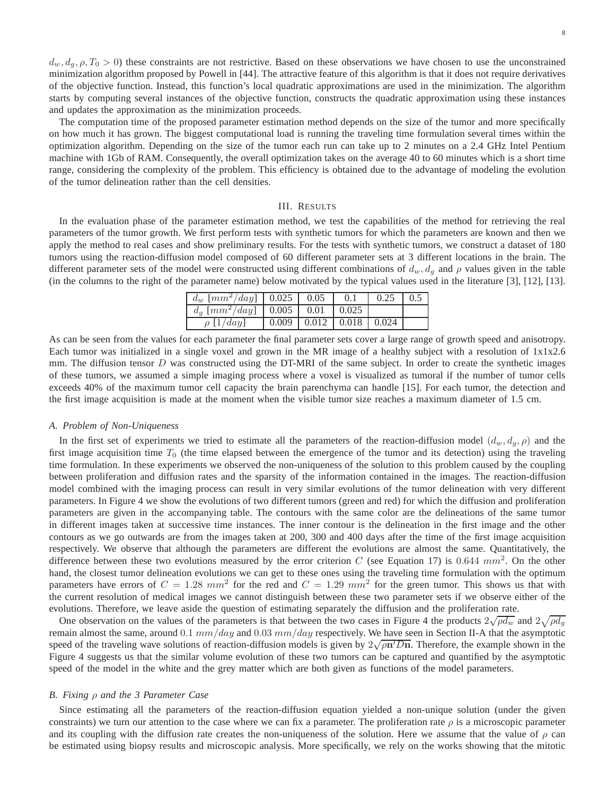$d_w, d_q, \rho, T_0 > 0$ ) these constraints are not restrictive. Based on these observations we have chosen to use the unconstrained minimization algorithm proposed by Powell in [44]. The attractive feature of this algorithm is that it does not require derivatives of the objective function. Instead, this function's local quadratic approximations are used in the minimization. The algorithm starts by computing several instances of the objective function, constructs the quadratic approximation using these instances and updates the approximation as the minimization proceeds.

The computation time of the proposed parameter estimation method depends on the size of the tumor and more specifically on how much it has grown. The biggest computational load is running the traveling time formulation several times within the optimization algorithm. Depending on the size of the tumor each run can take up to 2 minutes on a 2.4 GHz Intel Pentium machine with 1Gb of RAM. Consequently, the overall optimization takes on the average 40 to 60 minutes which is a short time range, considering the complexity of the problem. This efficiency is obtained due to the advantage of modeling the evolution of the tumor delineation rather than the cell densities.

#### III. RESULTS

In the evaluation phase of the parameter estimation method, we test the capabilities of the method for retrieving the real parameters of the tumor growth. We first perform tests with synthetic tumors for which the parameters are known and then we apply the method to real cases and show preliminary results. For the tests with synthetic tumors, we construct a dataset of 180 tumors using the reaction-diffusion model composed of 60 different parameter sets at 3 different locations in the brain. The different parameter sets of the model were constructed using different combinations of  $d_w$ ,  $d_g$  and  $\rho$  values given in the table (in the columns to the right of the parameter name) below motivated by the typical values used in the literature [3], [12], [13].

| $d_w$ [mm <sup>2</sup> /day]   0.025   0.05         |                                       | $\cdot$ 0.1 | $\perp$ 0.25 | $\mid$ 0.5 |
|-----------------------------------------------------|---------------------------------------|-------------|--------------|------------|
| $d_a$ [mm <sup>2</sup> /day]   0.005   0.01   0.025 |                                       |             |              |            |
| $\rho \left[1/day\right]$                           | $0.009$   $0.012$   $0.018$   $0.024$ |             |              |            |

As can be seen from the values for each parameter the final parameter sets cover a large range of growth speed and anisotropy. Each tumor was initialized in a single voxel and grown in the MR image of a healthy subject with a resolution of 1x1x2.6 mm. The diffusion tensor  $D$  was constructed using the DT-MRI of the same subject. In order to create the synthetic images of these tumors, we assumed a simple imaging process where a voxel is visualized as tumoral if the number of tumor cells exceeds 40% of the maximum tumor cell capacity the brain parenchyma can handle [15]. For each tumor, the detection and the first image acquisition is made at the moment when the visible tumor size reaches a maximum diameter of 1.5 cm.

#### *A. Problem of Non-Uniqueness*

In the first set of experiments we tried to estimate all the parameters of the reaction-diffusion model  $(d_w, d_q, \rho)$  and the first image acquisition time  $T_0$  (the time elapsed between the emergence of the tumor and its detection) using the traveling time formulation. In these experiments we observed the non-uniqueness of the solution to this problem caused by the coupling between proliferation and diffusion rates and the sparsity of the information contained in the images. The reaction-diffusion model combined with the imaging process can result in very similar evolutions of the tumor delineation with very different parameters. In Figure 4 we show the evolutions of two different tumors (green and red) for which the diffusion and proliferation parameters are given in the accompanying table. The contours with the same color are the delineations of the same tumor in different images taken at successive time instances. The inner contour is the delineation in the first image and the other contours as we go outwards are from the images taken at 200, 300 and 400 days after the time of the first image acquisition respectively. We observe that although the parameters are different the evolutions are almost the same. Quantitatively, the difference between these two evolutions measured by the error criterion C (see Equation 17) is 0.644  $mm^2$ . On the other hand, the closest tumor delineation evolutions we can get to these ones using the traveling time formulation with the optimum parameters have errors of  $C = 1.28$   $mm^2$  for the red and  $C = 1.29$   $mm^2$  for the green tumor. This shows us that with the current resolution of medical images we cannot distinguish between these two parameter sets if we observe either of the evolutions. Therefore, we leave aside the question of estimating separately the diffusion and the proliferation rate.

One observation on the values of the parameters is that between the two cases in Figure 4 the products  $2\sqrt{\rho d_w}$  and  $2\sqrt{\rho d_g}$ remain almost the same, around 0.1  $mm/day$  and 0.03  $mm/day$  respectively. We have seen in Section II-A that the asymptotic speed of the traveling wave solutions of reaction-diffusion models is given by  $2\sqrt{\rho n'Dn}$ . Therefore, the example shown in the Figure 4 suggests us that the similar volume evolution of these two tumors can be captured and quantified by the asymptotic speed of the model in the white and the grey matter which are both given as functions of the model parameters.

#### *B. Fixing* ρ *and the 3 Parameter Case*

Since estimating all the parameters of the reaction-diffusion equation yielded a non-unique solution (under the given constraints) we turn our attention to the case where we can fix a parameter. The proliferation rate  $\rho$  is a microscopic parameter and its coupling with the diffusion rate creates the non-uniqueness of the solution. Here we assume that the value of  $\rho$  can be estimated using biopsy results and microscopic analysis. More specifically, we rely on the works showing that the mitotic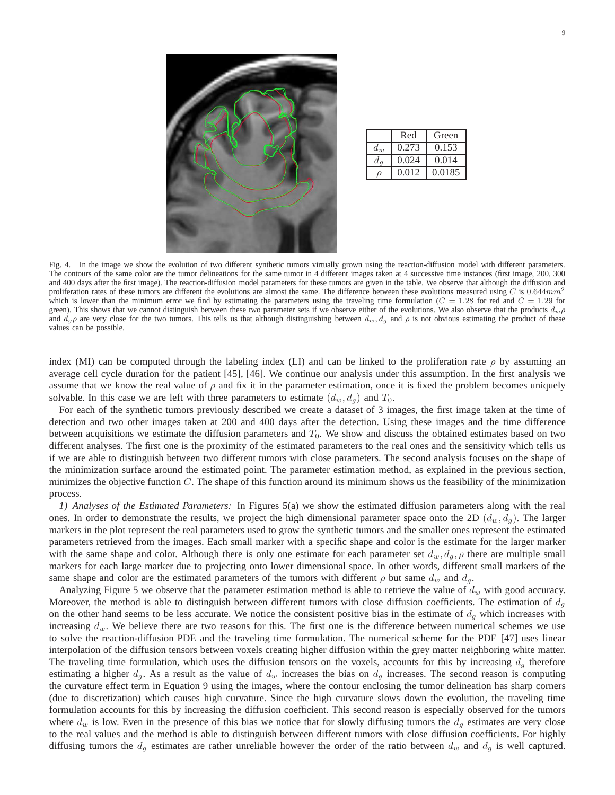

|              | Red   | Green  |
|--------------|-------|--------|
| $d_{\eta}$   | 0.273 | 0.153  |
| $d_{\alpha}$ | 0.024 | 0.014  |
| Ω            | 0.012 | 0.0185 |

Fig. 4. In the image we show the evolution of two different synthetic tumors virtually grown using the reaction-diffusion model with different parameters. The contours of the same color are the tumor delineations for the same tumor in 4 different images taken at 4 successive time instances (first image, 200, 300 and 400 days after the first image). The reaction-diffusion model parameters for these tumors are given in the table. We observe that although the diffusion and proliferation rates of these tumors are different the evolutions are almost the same. The difference between these evolutions measured using C is 0.644mm<sup>2</sup> which is lower than the minimum error we find by estimating the parameters using the traveling time formulation  $(C = 1.28$  for red and  $C = 1.29$  for green). This shows that we cannot distinguish between these two parameter sets if we observe either of the evolutions. We also observe that the products  $d_w \rho$ and  $d_g \rho$  are very close for the two tumors. This tells us that although distinguishing between  $d_w$ ,  $d_g$  and  $\rho$  is not obvious estimating the product of these values can be possible.

index (MI) can be computed through the labeling index (LI) and can be linked to the proliferation rate  $\rho$  by assuming an average cell cycle duration for the patient [45], [46]. We continue our analysis under this assumption. In the first analysis we assume that we know the real value of  $\rho$  and fix it in the parameter estimation, once it is fixed the problem becomes uniquely solvable. In this case we are left with three parameters to estimate  $(d_w, d_q)$  and  $T_0$ .

For each of the synthetic tumors previously described we create a dataset of 3 images, the first image taken at the time of detection and two other images taken at 200 and 400 days after the detection. Using these images and the time difference between acquisitions we estimate the diffusion parameters and  $T<sub>0</sub>$ . We show and discuss the obtained estimates based on two different analyses. The first one is the proximity of the estimated parameters to the real ones and the sensitivity which tells us if we are able to distinguish between two different tumors with close parameters. The second analysis focuses on the shape of the minimization surface around the estimated point. The parameter estimation method, as explained in the previous section, minimizes the objective function  $C$ . The shape of this function around its minimum shows us the feasibility of the minimization process.

*1) Analyses of the Estimated Parameters:* In Figures 5(a) we show the estimated diffusion parameters along with the real ones. In order to demonstrate the results, we project the high dimensional parameter space onto the 2D  $(d_w, d_q)$ . The larger markers in the plot represent the real parameters used to grow the synthetic tumors and the smaller ones represent the estimated parameters retrieved from the images. Each small marker with a specific shape and color is the estimate for the larger marker with the same shape and color. Although there is only one estimate for each parameter set  $d_w, d_q, \rho$  there are multiple small markers for each large marker due to projecting onto lower dimensional space. In other words, different small markers of the same shape and color are the estimated parameters of the tumors with different  $\rho$  but same  $d_w$  and  $d_q$ .

Analyzing Figure 5 we observe that the parameter estimation method is able to retrieve the value of  $d_w$  with good accuracy. Moreover, the method is able to distinguish between different tumors with close diffusion coefficients. The estimation of  $d_q$ on the other hand seems to be less accurate. We notice the consistent positive bias in the estimate of  $d<sub>g</sub>$  which increases with increasing  $d_w$ . We believe there are two reasons for this. The first one is the difference between numerical schemes we use to solve the reaction-diffusion PDE and the traveling time formulation. The numerical scheme for the PDE [47] uses linear interpolation of the diffusion tensors between voxels creating higher diffusion within the grey matter neighboring white matter. The traveling time formulation, which uses the diffusion tensors on the voxels, accounts for this by increasing  $d_q$  therefore estimating a higher  $d_g$ . As a result as the value of  $d_w$  increases the bias on  $d_g$  increases. The second reason is computing the curvature effect term in Equation 9 using the images, where the contour enclosing the tumor delineation has sharp corners (due to discretization) which causes high curvature. Since the high curvature slows down the evolution, the traveling time formulation accounts for this by increasing the diffusion coefficient. This second reason is especially observed for the tumors where  $d_w$  is low. Even in the presence of this bias we notice that for slowly diffusing tumors the  $d_q$  estimates are very close to the real values and the method is able to distinguish between different tumors with close diffusion coefficients. For highly diffusing tumors the  $d_q$  estimates are rather unreliable however the order of the ratio between  $d_w$  and  $d_q$  is well captured.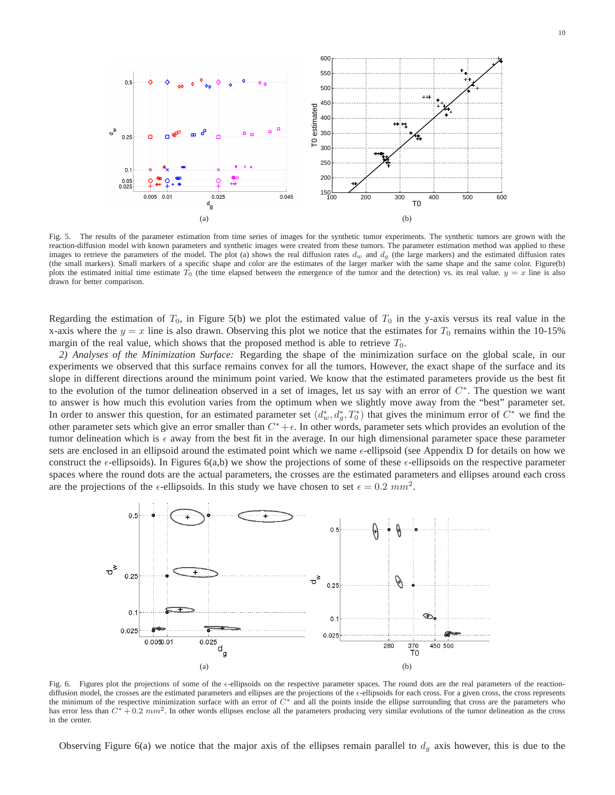

Fig. 5. The results of the parameter estimation from time series of images for the synthetic tumor experiments. The synthetic tumors are grown with the reaction-diffusion model with known parameters and synthetic images were created from these tumors. The parameter estimation method was applied to these images to retrieve the parameters of the model. The plot (a) shows the real diffusion rates  $d_w$  and  $d_g$  (the large markers) and the estimated diffusion rates (the small markers). Small markers of a specific shape and color are the estimates of the larger marker with the same shape and the same color. Figure(b) plots the estimated initial time estimate  $T_0$  (the time elapsed between the emergence of the tumor and the detection) vs. its real value.  $y = x$  line is also drawn for better comparison.

Regarding the estimation of  $T_0$ , in Figure 5(b) we plot the estimated value of  $T_0$  in the y-axis versus its real value in the x-axis where the  $y = x$  line is also drawn. Observing this plot we notice that the estimates for  $T_0$  remains within the 10-15% margin of the real value, which shows that the proposed method is able to retrieve  $T_0$ .

*2) Analyses of the Minimization Surface:* Regarding the shape of the minimization surface on the global scale, in our experiments we observed that this surface remains convex for all the tumors. However, the exact shape of the surface and its slope in different directions around the minimum point varied. We know that the estimated parameters provide us the best fit to the evolution of the tumor delineation observed in a set of images, let us say with an error of  $C^*$ . The question we want to answer is how much this evolution varies from the optimum when we slightly move away from the "best" parameter set. In order to answer this question, for an estimated parameter set  $(d_w^*, d_g^*, T_0^*)$  that gives the minimum error of  $C^*$  we find the other parameter sets which give an error smaller than  $C^* + \epsilon$ . In other words, parameter sets which provides an evolution of the tumor delineation which is  $\epsilon$  away from the best fit in the average. In our high dimensional parameter space these parameter sets are enclosed in an ellipsoid around the estimated point which we name  $\epsilon$ -ellipsoid (see Appendix D for details on how we construct the  $\epsilon$ -ellipsoids). In Figures 6(a,b) we show the projections of some of these  $\epsilon$ -ellipsoids on the respective parameter spaces where the round dots are the actual parameters, the crosses are the estimated parameters and ellipses around each cross are the projections of the  $\epsilon$ -ellipsoids. In this study we have chosen to set  $\epsilon = 0.2 \; mm^2$ .



Fig. 6. Figures plot the projections of some of the  $\epsilon$ -ellipsoids on the respective parameter spaces. The round dots are the real parameters of the reactiondiffusion model, the crosses are the estimated parameters and ellipses are the projections of the  $\epsilon$ -ellipsoids for each cross. For a given cross, the cross represents the minimum of the respective minimization surface with an error of C<sup>∗</sup> and all the points inside the ellipse surrounding that cross are the parameters who has error less than  $C^* + 0.2 \, mm^2$ . In other words ellipses enclose all the parameters producing very similar evolutions of the tumor delineation as the cross in the center.

Observing Figure 6(a) we notice that the major axis of the ellipses remain parallel to  $d_q$  axis however, this is due to the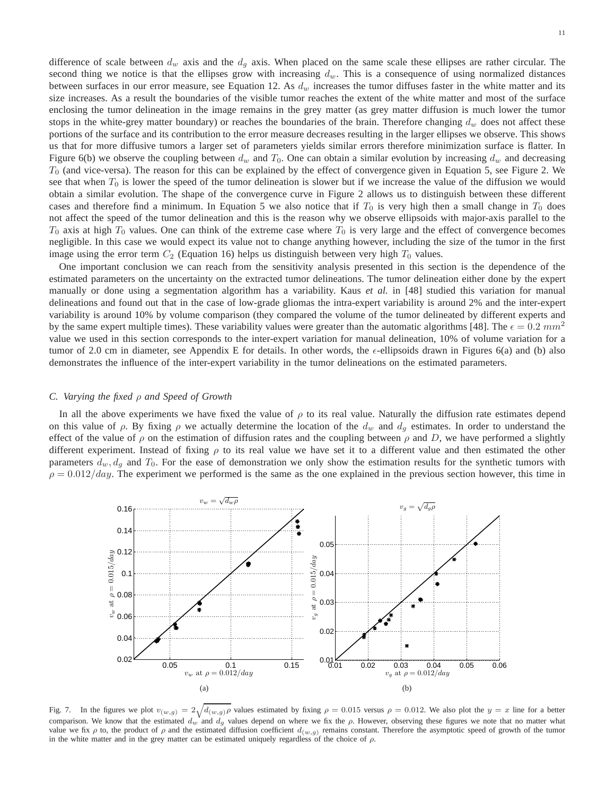difference of scale between  $d_w$  axis and the  $d_q$  axis. When placed on the same scale these ellipses are rather circular. The second thing we notice is that the ellipses grow with increasing  $d_w$ . This is a consequence of using normalized distances between surfaces in our error measure, see Equation 12. As  $d_w$  increases the tumor diffuses faster in the white matter and its size increases. As a result the boundaries of the visible tumor reaches the extent of the white matter and most of the surface enclosing the tumor delineation in the image remains in the grey matter (as grey matter diffusion is much lower the tumor stops in the white-grey matter boundary) or reaches the boundaries of the brain. Therefore changing  $d_w$  does not affect these portions of the surface and its contribution to the error measure decreases resulting in the larger ellipses we observe. This shows us that for more diffusive tumors a larger set of parameters yields similar errors therefore minimization surface is flatter. In Figure 6(b) we observe the coupling between  $d_w$  and  $T_0$ . One can obtain a similar evolution by increasing  $d_w$  and decreasing  $T_0$  (and vice-versa). The reason for this can be explained by the effect of convergence given in Equation 5, see Figure 2. We see that when  $T_0$  is lower the speed of the tumor delineation is slower but if we increase the value of the diffusion we would obtain a similar evolution. The shape of the convergence curve in Figure 2 allows us to distinguish between these different cases and therefore find a minimum. In Equation 5 we also notice that if  $T_0$  is very high then a small change in  $T_0$  does not affect the speed of the tumor delineation and this is the reason why we observe ellipsoids with major-axis parallel to the  $T_0$  axis at high  $T_0$  values. One can think of the extreme case where  $T_0$  is very large and the effect of convergence becomes negligible. In this case we would expect its value not to change anything however, including the size of the tumor in the first image using the error term  $C_2$  (Equation 16) helps us distinguish between very high  $T_0$  values.

One important conclusion we can reach from the sensitivity analysis presented in this section is the dependence of the estimated parameters on the uncertainty on the extracted tumor delineations. The tumor delineation either done by the expert manually or done using a segmentation algorithm has a variability. Kaus *et al.* in [48] studied this variation for manual delineations and found out that in the case of low-grade gliomas the intra-expert variability is around 2% and the inter-expert variability is around 10% by volume comparison (they compared the volume of the tumor delineated by different experts and by the same expert multiple times). These variability values were greater than the automatic algorithms [48]. The  $\epsilon = 0.2 \, mm^2$ value we used in this section corresponds to the inter-expert variation for manual delineation, 10% of volume variation for a tumor of 2.0 cm in diameter, see Appendix E for details. In other words, the  $\epsilon$ -ellipsoids drawn in Figures 6(a) and (b) also demonstrates the influence of the inter-expert variability in the tumor delineations on the estimated parameters.

#### *C. Varying the fixed* ρ *and Speed of Growth*

In all the above experiments we have fixed the value of  $\rho$  to its real value. Naturally the diffusion rate estimates depend on this value of  $\rho$ . By fixing  $\rho$  we actually determine the location of the  $d_w$  and  $d_q$  estimates. In order to understand the effect of the value of  $\rho$  on the estimation of diffusion rates and the coupling between  $\rho$  and D, we have performed a slightly different experiment. Instead of fixing  $\rho$  to its real value we have set it to a different value and then estimated the other parameters  $d_w$ ,  $d_q$  and  $T_0$ . For the ease of demonstration we only show the estimation results for the synthetic tumors with  $\rho = 0.012/day$ . The experiment we performed is the same as the one explained in the previous section however, this time in



Fig. 7. In the figures we plot  $v_{(w,g)} = 2\sqrt{d_{(w,g)}\rho}$  values estimated by fixing  $\rho = 0.015$  versus  $\rho = 0.012$ . We also plot the  $y = x$  line for a better comparison. We know that the estimated  $d_w$  and  $d_g$  values depend on where we fix the  $\rho$ . However, observing these figures we note that no matter what value we fix  $\rho$  to, the product of  $\rho$  and the estimated diffusion coefficient  $d_{(w,g)}$  remains constant. Therefore the asymptotic speed of growth of the tumor in the white matter and in the grey matter can be estimated uniquely regardless of the choice of  $\rho$ .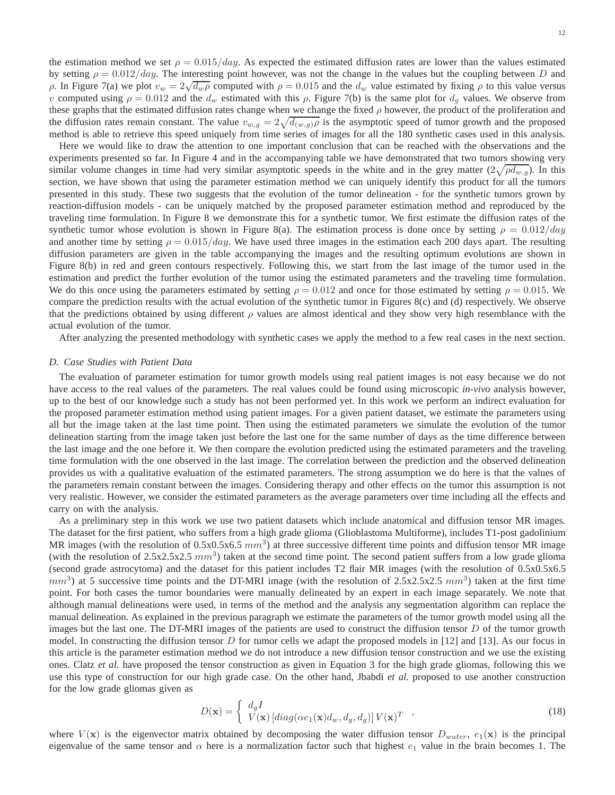the estimation method we set  $\rho = 0.015/day$ . As expected the estimated diffusion rates are lower than the values estimated by setting  $\rho = 0.012/day$ . The interesting point however, was not the change in the values but the coupling between D and ρ. In Figure 7(a) we plot  $v_w = 2\sqrt{d_w \rho}$  computed with  $\rho = 0.015$  and the  $d_w$  value estimated by fixing  $\rho$  to this value versus v computed using  $\rho = 0.012$  and the  $d_w$  estimated with this  $\rho$ . Figure 7(b) is the same plot for  $d_g$  values. We observe from these graphs that the estimated diffusion rates change when we change the fixed  $\rho$  however, the product of the proliferation and the diffusion rates remain constant. The value  $v_{w,g} = 2\sqrt{d_{(w,g)}\rho}$  is the asymptotic speed of tumor growth and the proposed method is able to retrieve this speed uniquely from time series of images for all the 180 synthetic cases used in this analysis.

Here we would like to draw the attention to one important conclusion that can be reached with the observations and the experiments presented so far. In Figure 4 and in the accompanying table we have demonstrated that two tumors showing very similar volume changes in time had very similar asymptotic speeds in the white and in the grey matter  $(2\sqrt{\rho d_{w,g}})$ . In this section, we have shown that using the parameter estimation method we can uniquely identify this product for all the tumors presented in this study. These two suggests that the evolution of the tumor delineation - for the synthetic tumors grown by reaction-diffusion models - can be uniquely matched by the proposed parameter estimation method and reproduced by the traveling time formulation. In Figure 8 we demonstrate this for a synthetic tumor. We first estimate the diffusion rates of the synthetic tumor whose evolution is shown in Figure 8(a). The estimation process is done once by setting  $\rho = 0.012/day$ and another time by setting  $\rho = 0.015/day$ . We have used three images in the estimation each 200 days apart. The resulting diffusion parameters are given in the table accompanying the images and the resulting optimum evolutions are shown in Figure 8(b) in red and green contours respectively. Following this, we start from the last image of the tumor used in the estimation and predict the further evolution of the tumor using the estimated parameters and the traveling time formulation. We do this once using the parameters estimated by setting  $\rho = 0.012$  and once for those estimated by setting  $\rho = 0.015$ . We compare the prediction results with the actual evolution of the synthetic tumor in Figures 8(c) and (d) respectively. We observe that the predictions obtained by using different  $\rho$  values are almost identical and they show very high resemblance with the actual evolution of the tumor.

After analyzing the presented methodology with synthetic cases we apply the method to a few real cases in the next section.

#### *D. Case Studies with Patient Data*

The evaluation of parameter estimation for tumor growth models using real patient images is not easy because we do not have access to the real values of the parameters. The real values could be found using microscopic *in-vivo* analysis however, up to the best of our knowledge such a study has not been performed yet. In this work we perform an indirect evaluation for the proposed parameter estimation method using patient images. For a given patient dataset, we estimate the parameters using all but the image taken at the last time point. Then using the estimated parameters we simulate the evolution of the tumor delineation starting from the image taken just before the last one for the same number of days as the time difference between the last image and the one before it. We then compare the evolution predicted using the estimated parameters and the traveling time formulation with the one observed in the last image. The correlation between the prediction and the observed delineation provides us with a qualitative evaluation of the estimated parameters. The strong assumption we do here is that the values of the parameters remain constant between the images. Considering therapy and other effects on the tumor this assumption is not very realistic. However, we consider the estimated parameters as the average parameters over time including all the effects and carry on with the analysis.

As a preliminary step in this work we use two patient datasets which include anatomical and diffusion tensor MR images. The dataset for the first patient, who suffers from a high grade glioma (Glioblastoma Multiforme), includes T1-post gadolinium MR images (with the resolution of  $0.5x0.5x6.5$   $mm^3$ ) at three successive different time points and diffusion tensor MR image (with the resolution of  $2.5x2.5x2.5$   $mm^3$ ) taken at the second time point. The second patient suffers from a low grade glioma (second grade astrocytoma) and the dataset for this patient includes T2 flair MR images (with the resolution of 0.5x0.5x6.5  $mm<sup>3</sup>$ ) at 5 successive time points and the DT-MRI image (with the resolution of 2.5x2.5x2.5  $mm<sup>3</sup>$ ) taken at the first time point. For both cases the tumor boundaries were manually delineated by an expert in each image separately. We note that although manual delineations were used, in terms of the method and the analysis any segmentation algorithm can replace the manual delineation. As explained in the previous paragraph we estimate the parameters of the tumor growth model using all the images but the last one. The DT-MRI images of the patients are used to construct the diffusion tensor  $D$  of the tumor growth model. In constructing the diffusion tensor D for tumor cells we adapt the proposed models in  $[12]$  and  $[13]$ . As our focus in this article is the parameter estimation method we do not introduce a new diffusion tensor construction and we use the existing ones. Clatz *et al.* have proposed the tensor construction as given in Equation 3 for the high grade gliomas, following this we use this type of construction for our high grade case. On the other hand, Jbabdi *et al.* proposed to use another construction for the low grade gliomas given as

$$
D(\mathbf{x}) = \begin{cases} d_g I \\ V(\mathbf{x}) \left[ diag(\alpha e_1(\mathbf{x}) d_w, d_g, d_g) \right] V(\mathbf{x})^T \end{cases} , \tag{18}
$$

where  $V(\mathbf{x})$  is the eigenvector matrix obtained by decomposing the water diffusion tensor  $D_{water}$ ,  $e_1(\mathbf{x})$  is the principal eigenvalue of the same tensor and  $\alpha$  here is a normalization factor such that highest  $e_1$  value in the brain becomes 1. The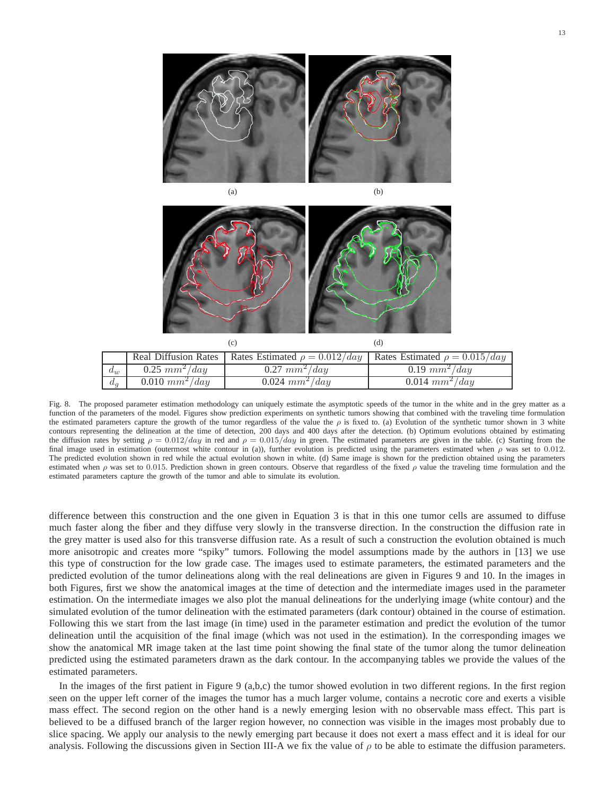



|       | Real Diffusion Rates        | Rates Estimated $\rho = 0.012/day$ Rates Estimated $\rho = 0.015/day$ |                              |
|-------|-----------------------------|-----------------------------------------------------------------------|------------------------------|
| $a_w$ | $0.25$ mm <sup>2</sup> /day | $0.27$ mm <sup>2</sup> /day                                           | $0.19 \;mm^2/day$            |
| $d_a$ | 0.010 $mm^2/day$            | $0.024 \; mm^2/day$                                                   | $0.014$ mm <sup>2</sup> /day |

Fig. 8. The proposed parameter estimation methodology can uniquely estimate the asymptotic speeds of the tumor in the white and in the grey matter as a function of the parameters of the model. Figures show prediction experiments on synthetic tumors showing that combined with the traveling time formulation the estimated parameters capture the growth of the tumor regardless of the value the  $\rho$  is fixed to. (a) Evolution of the synthetic tumor shown in 3 white contours representing the delineation at the time of detection, 200 days and 400 days after the detection. (b) Optimum evolutions obtained by estimating the diffusion rates by setting  $\rho = 0.012/day$  in red and  $\rho = 0.015/day$  in green. The estimated parameters are given in the table. (c) Starting from the final image used in estimation (outermost white contour in (a)), further evolution is predicted using the parameters estimated when  $\rho$  was set to 0.012. The predicted evolution shown in red while the actual evolution shown in white. (d) Same image is shown for the prediction obtained using the parameters estimated when  $\rho$  was set to 0.015. Prediction shown in green contours. Observe that regardless of the fixed  $\rho$  value the traveling time formulation and the estimated parameters capture the growth of the tumor and able to simulate its evolution.

difference between this construction and the one given in Equation 3 is that in this one tumor cells are assumed to diffuse much faster along the fiber and they diffuse very slowly in the transverse direction. In the construction the diffusion rate in the grey matter is used also for this transverse diffusion rate. As a result of such a construction the evolution obtained is much more anisotropic and creates more "spiky" tumors. Following the model assumptions made by the authors in [13] we use this type of construction for the low grade case. The images used to estimate parameters, the estimated parameters and the predicted evolution of the tumor delineations along with the real delineations are given in Figures 9 and 10. In the images in both Figures, first we show the anatomical images at the time of detection and the intermediate images used in the parameter estimation. On the intermediate images we also plot the manual delineations for the underlying image (white contour) and the simulated evolution of the tumor delineation with the estimated parameters (dark contour) obtained in the course of estimation. Following this we start from the last image (in time) used in the parameter estimation and predict the evolution of the tumor delineation until the acquisition of the final image (which was not used in the estimation). In the corresponding images we show the anatomical MR image taken at the last time point showing the final state of the tumor along the tumor delineation predicted using the estimated parameters drawn as the dark contour. In the accompanying tables we provide the values of the estimated parameters.

In the images of the first patient in Figure 9 (a,b,c) the tumor showed evolution in two different regions. In the first region seen on the upper left corner of the images the tumor has a much larger volume, contains a necrotic core and exerts a visible mass effect. The second region on the other hand is a newly emerging lesion with no observable mass effect. This part is believed to be a diffused branch of the larger region however, no connection was visible in the images most probably due to slice spacing. We apply our analysis to the newly emerging part because it does not exert a mass effect and it is ideal for our analysis. Following the discussions given in Section III-A we fix the value of  $\rho$  to be able to estimate the diffusion parameters.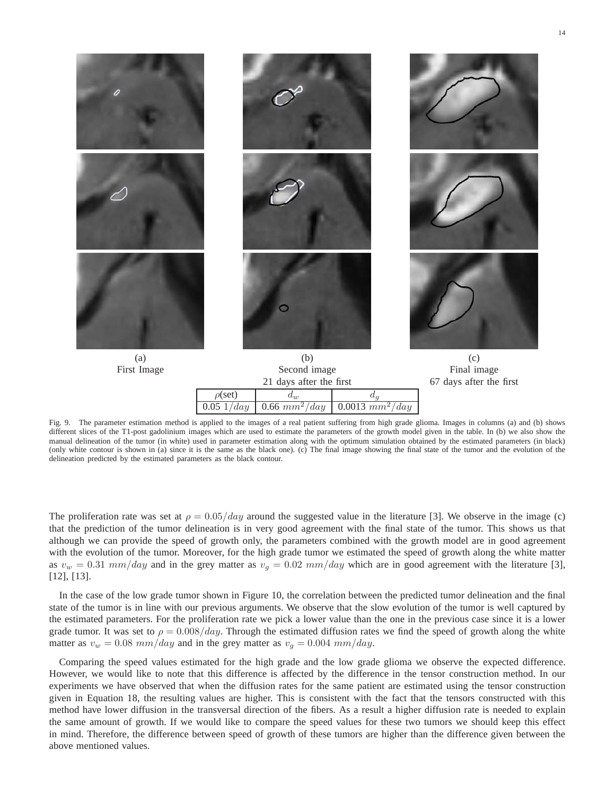

Fig. 9. The parameter estimation method is applied to the images of a real patient suffering from high grade glioma. Images in columns (a) and (b) shows different slices of the T1-post gadolinium images which are used to estimate the parameters of the growth model given in the table. In (b) we also show the manual delineation of the tumor (in white) used in parameter estimation along with the optimum simulation obtained by the estimated parameters (in black) (only white contour is shown in (a) since it is the same as the black one). (c) The final image showing the final state of the tumor and the evolution of the delineation predicted by the estimated parameters as the black contour.

The proliferation rate was set at  $\rho = 0.05/day$  around the suggested value in the literature [3]. We observe in the image (c) that the prediction of the tumor delineation is in very good agreement with the final state of the tumor. This shows us that although we can provide the speed of growth only, the parameters combined with the growth model are in good agreement with the evolution of the tumor. Moreover, for the high grade tumor we estimated the speed of growth along the white matter as  $v_w = 0.31$  mm/day and in the grey matter as  $v_q = 0.02$  mm/day which are in good agreement with the literature [3], [12], [13].

In the case of the low grade tumor shown in Figure 10, the correlation between the predicted tumor delineation and the final state of the tumor is in line with our previous arguments. We observe that the slow evolution of the tumor is well captured by the estimated parameters. For the proliferation rate we pick a lower value than the one in the previous case since it is a lower grade tumor. It was set to  $\rho = 0.008/day$ . Through the estimated diffusion rates we find the speed of growth along the white matter as  $v_w = 0.08$  mm/day and in the grey matter as  $v_g = 0.004$  mm/day.

Comparing the speed values estimated for the high grade and the low grade glioma we observe the expected difference. However, we would like to note that this difference is affected by the difference in the tensor construction method. In our experiments we have observed that when the diffusion rates for the same patient are estimated using the tensor construction given in Equation 18, the resulting values are higher. This is consistent with the fact that the tensors constructed with this method have lower diffusion in the transversal direction of the fibers. As a result a higher diffusion rate is needed to explain the same amount of growth. If we would like to compare the speed values for these two tumors we should keep this effect in mind. Therefore, the difference between speed of growth of these tumors are higher than the difference given between the above mentioned values.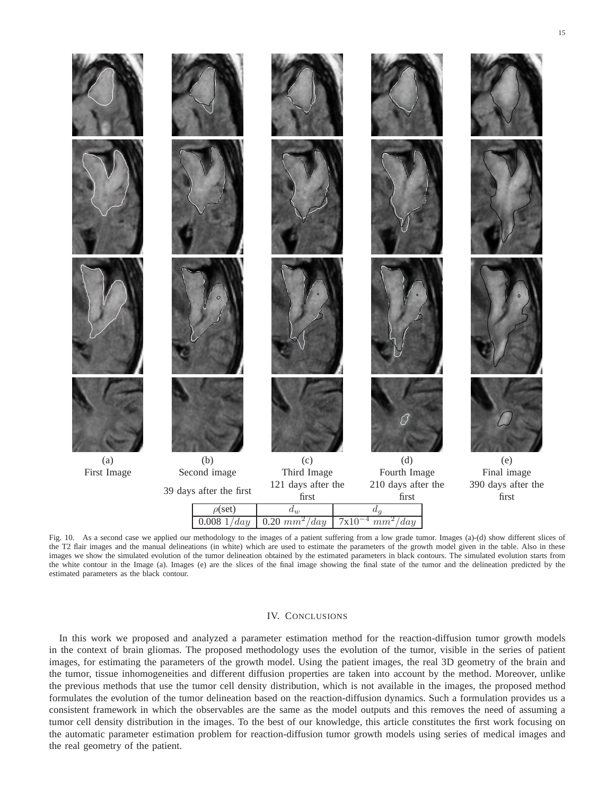

Fig. 10. As a second case we applied our methodology to the images of a patient suffering from a low grade tumor. Images (a)-(d) show different slices of the T2 flair images and the manual delineations (in white) which are used to estimate the parameters of the growth model given in the table. Also in these images we show the simulated evolution of the tumor delineation obtained by the estimated parameters in black contours. The simulated evolution starts from the white contour in the Image (a). Images (e) are the slices of the final image showing the final state of the tumor and the delineation predicted by the estimated parameters as the black contour.

#### IV. CONCLUSIONS

In this work we proposed and analyzed a parameter estimation method for the reaction-diffusion tumor growth models in the context of brain gliomas. The proposed methodology uses the evolution of the tumor, visible in the series of patient images, for estimating the parameters of the growth model. Using the patient images, the real 3D geometry of the brain and the tumor, tissue inhomogeneities and different diffusion properties are taken into account by the method. Moreover, unlike the previous methods that use the tumor cell density distribution, which is not available in the images, the proposed method formulates the evolution of the tumor delineation based on the reaction-diffusion dynamics. Such a formulation provides us a consistent framework in which the observables are the same as the model outputs and this removes the need of assuming a tumor cell density distribution in the images. To the best of our knowledge, this article constitutes the first work focusing on the automatic parameter estimation problem for reaction-diffusion tumor growth models using series of medical images and the real geometry of the patient.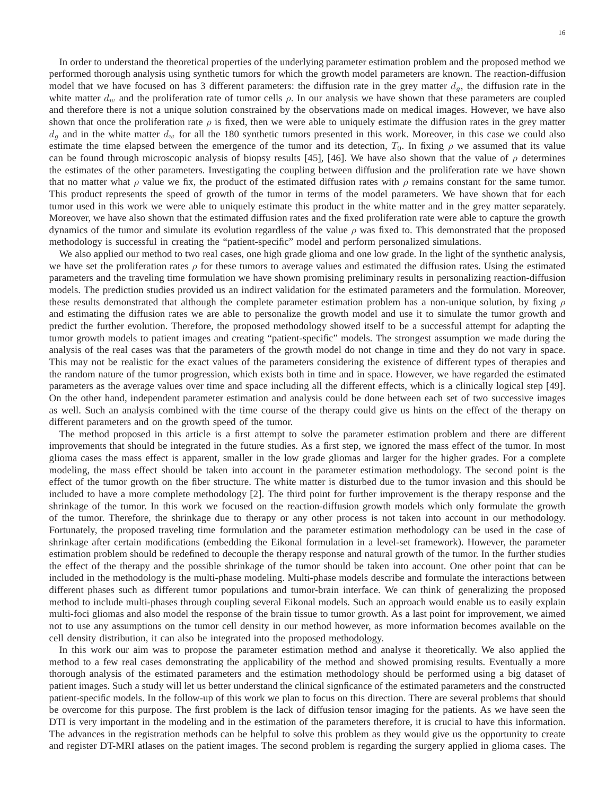In order to understand the theoretical properties of the underlying parameter estimation problem and the proposed method we performed thorough analysis using synthetic tumors for which the growth model parameters are known. The reaction-diffusion model that we have focused on has 3 different parameters: the diffusion rate in the grey matter  $d_q$ , the diffusion rate in the white matter  $d_w$  and the proliferation rate of tumor cells  $\rho$ . In our analysis we have shown that these parameters are coupled and therefore there is not a unique solution constrained by the observations made on medical images. However, we have also shown that once the proliferation rate  $\rho$  is fixed, then we were able to uniquely estimate the diffusion rates in the grey matter  $d<sub>q</sub>$  and in the white matter  $d<sub>w</sub>$  for all the 180 synthetic tumors presented in this work. Moreover, in this case we could also estimate the time elapsed between the emergence of the tumor and its detection,  $T_0$ . In fixing  $\rho$  we assumed that its value can be found through microscopic analysis of biopsy results [45], [46]. We have also shown that the value of  $\rho$  determines the estimates of the other parameters. Investigating the coupling between diffusion and the proliferation rate we have shown that no matter what  $\rho$  value we fix, the product of the estimated diffusion rates with  $\rho$  remains constant for the same tumor. This product represents the speed of growth of the tumor in terms of the model parameters. We have shown that for each

Moreover, we have also shown that the estimated diffusion rates and the fixed proliferation rate were able to capture the growth dynamics of the tumor and simulate its evolution regardless of the value  $\rho$  was fixed to. This demonstrated that the proposed methodology is successful in creating the "patient-specific" model and perform personalized simulations. We also applied our method to two real cases, one high grade glioma and one low grade. In the light of the synthetic analysis, we have set the proliferation rates  $\rho$  for these tumors to average values and estimated the diffusion rates. Using the estimated parameters and the traveling time formulation we have shown promising preliminary results in personalizing reaction-diffusion models. The prediction studies provided us an indirect validation for the estimated parameters and the formulation. Moreover, these results demonstrated that although the complete parameter estimation problem has a non-unique solution, by fixing  $\rho$ and estimating the diffusion rates we are able to personalize the growth model and use it to simulate the tumor growth and predict the further evolution. Therefore, the proposed methodology showed itself to be a successful attempt for adapting the tumor growth models to patient images and creating "patient-specific" models. The strongest assumption we made during the analysis of the real cases was that the parameters of the growth model do not change in time and they do not vary in space. This may not be realistic for the exact values of the parameters considering the existence of different types of therapies and the random nature of the tumor progression, which exists both in time and in space. However, we have regarded the estimated parameters as the average values over time and space including all the different effects, which is a clinically logical step [49]. On the other hand, independent parameter estimation and analysis could be done between each set of two successive images

as well. Such an analysis combined with the time course of the therapy could give us hints on the effect of the therapy on

tumor used in this work we were able to uniquely estimate this product in the white matter and in the grey matter separately.

different parameters and on the growth speed of the tumor. The method proposed in this article is a first attempt to solve the parameter estimation problem and there are different improvements that should be integrated in the future studies. As a first step, we ignored the mass effect of the tumor. In most glioma cases the mass effect is apparent, smaller in the low grade gliomas and larger for the higher grades. For a complete modeling, the mass effect should be taken into account in the parameter estimation methodology. The second point is the effect of the tumor growth on the fiber structure. The white matter is disturbed due to the tumor invasion and this should be included to have a more complete methodology [2]. The third point for further improvement is the therapy response and the shrinkage of the tumor. In this work we focused on the reaction-diffusion growth models which only formulate the growth of the tumor. Therefore, the shrinkage due to therapy or any other process is not taken into account in our methodology. Fortunately, the proposed traveling time formulation and the parameter estimation methodology can be used in the case of shrinkage after certain modifications (embedding the Eikonal formulation in a level-set framework). However, the parameter estimation problem should be redefined to decouple the therapy response and natural growth of the tumor. In the further studies the effect of the therapy and the possible shrinkage of the tumor should be taken into account. One other point that can be included in the methodology is the multi-phase modeling. Multi-phase models describe and formulate the interactions between different phases such as different tumor populations and tumor-brain interface. We can think of generalizing the proposed method to include multi-phases through coupling several Eikonal models. Such an approach would enable us to easily explain multi-foci gliomas and also model the response of the brain tissue to tumor growth. As a last point for improvement, we aimed not to use any assumptions on the tumor cell density in our method however, as more information becomes available on the cell density distribution, it can also be integrated into the proposed methodology.

In this work our aim was to propose the parameter estimation method and analyse it theoretically. We also applied the method to a few real cases demonstrating the applicability of the method and showed promising results. Eventually a more thorough analysis of the estimated parameters and the estimation methodology should be performed using a big dataset of patient images. Such a study will let us better understand the clinical signficance of the estimated parameters and the constructed patient-specific models. In the follow-up of this work we plan to focus on this direction. There are several problems that should be overcome for this purpose. The first problem is the lack of diffusion tensor imaging for the patients. As we have seen the DTI is very important in the modeling and in the estimation of the parameters therefore, it is crucial to have this information. The advances in the registration methods can be helpful to solve this problem as they would give us the opportunity to create and register DT-MRI atlases on the patient images. The second problem is regarding the surgery applied in glioma cases. The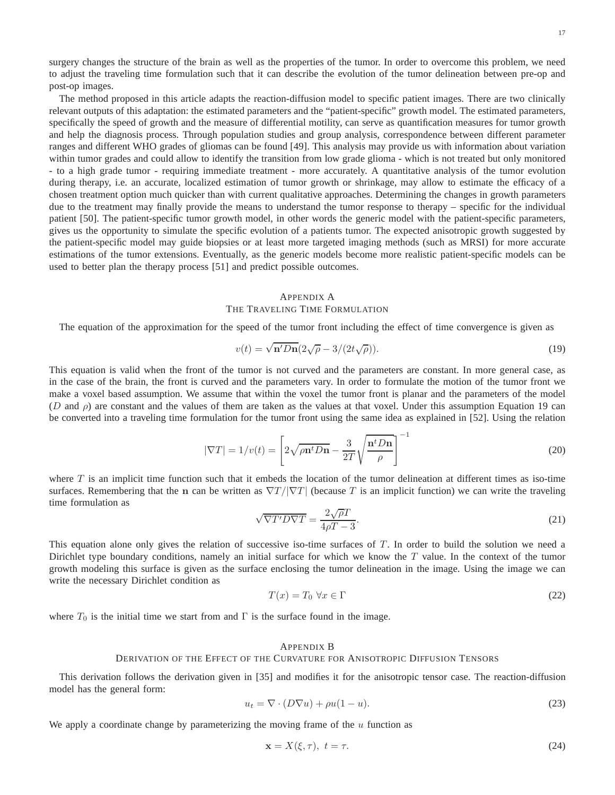surgery changes the structure of the brain as well as the properties of the tumor. In order to overcome this problem, we need to adjust the traveling time formulation such that it can describe the evolution of the tumor delineation between pre-op and post-op images.

The method proposed in this article adapts the reaction-diffusion model to specific patient images. There are two clinically relevant outputs of this adaptation: the estimated parameters and the "patient-specific" growth model. The estimated parameters, specifically the speed of growth and the measure of differential motility, can serve as quantification measures for tumor growth and help the diagnosis process. Through population studies and group analysis, correspondence between different parameter ranges and different WHO grades of gliomas can be found [49]. This analysis may provide us with information about variation within tumor grades and could allow to identify the transition from low grade glioma - which is not treated but only monitored - to a high grade tumor - requiring immediate treatment - more accurately. A quantitative analysis of the tumor evolution during therapy, i.e. an accurate, localized estimation of tumor growth or shrinkage, may allow to estimate the efficacy of a chosen treatment option much quicker than with current qualitative approaches. Determining the changes in growth parameters due to the treatment may finally provide the means to understand the tumor response to therapy – specific for the individual patient [50]. The patient-specific tumor growth model, in other words the generic model with the patient-specific parameters, gives us the opportunity to simulate the specific evolution of a patients tumor. The expected anisotropic growth suggested by the patient-specific model may guide biopsies or at least more targeted imaging methods (such as MRSI) for more accurate estimations of the tumor extensions. Eventually, as the generic models become more realistic patient-specific models can be used to better plan the therapy process [51] and predict possible outcomes.

#### APPENDIX A THE TRAVELING TIME FORMULATION

The equation of the approximation for the speed of the tumor front including the effect of time convergence is given as

$$
v(t) = \sqrt{\mathbf{n}' D \mathbf{n}} (2\sqrt{\rho} - 3/(2t\sqrt{\rho})).
$$
\n(19)

This equation is valid when the front of the tumor is not curved and the parameters are constant. In more general case, as in the case of the brain, the front is curved and the parameters vary. In order to formulate the motion of the tumor front we make a voxel based assumption. We assume that within the voxel the tumor front is planar and the parameters of the model (D and  $\rho$ ) are constant and the values of them are taken as the values at that voxel. Under this assumption Equation 19 can be converted into a traveling time formulation for the tumor front using the same idea as explained in [52]. Using the relation

$$
|\nabla T| = 1/v(t) = \left[2\sqrt{\rho \mathbf{n}^t D \mathbf{n}} - \frac{3}{2T} \sqrt{\frac{\mathbf{n}^t D \mathbf{n}}{\rho}}\right]^{-1}
$$
(20)

where  $T$  is an implicit time function such that it embeds the location of the tumor delineation at different times as iso-time surfaces. Remembering that the n can be written as  $\nabla T / |\nabla T|$  (because T is an implicit function) we can write the traveling time formulation as

$$
\sqrt{\nabla T'D\nabla T} = \frac{2\sqrt{\rho}T}{4\rho T - 3}.
$$
\n(21)

This equation alone only gives the relation of successive iso-time surfaces of  $T$ . In order to build the solution we need a Dirichlet type boundary conditions, namely an initial surface for which we know the  $T$  value. In the context of the tumor growth modeling this surface is given as the surface enclosing the tumor delineation in the image. Using the image we can write the necessary Dirichlet condition as

$$
T(x) = T_0 \,\forall x \in \Gamma \tag{22}
$$

where  $T_0$  is the initial time we start from and  $\Gamma$  is the surface found in the image.

#### APPENDIX B

#### DERIVATION OF THE EFFECT OF THE CURVATURE FOR ANISOTROPIC DIFFUSION TENSORS

This derivation follows the derivation given in [35] and modifies it for the anisotropic tensor case. The reaction-diffusion model has the general form:

$$
u_t = \nabla \cdot (D\nabla u) + \rho u (1 - u). \tag{23}
$$

We apply a coordinate change by parameterizing the moving frame of the  $u$  function as

$$
\mathbf{x} = X(\xi, \tau), \ t = \tau. \tag{24}
$$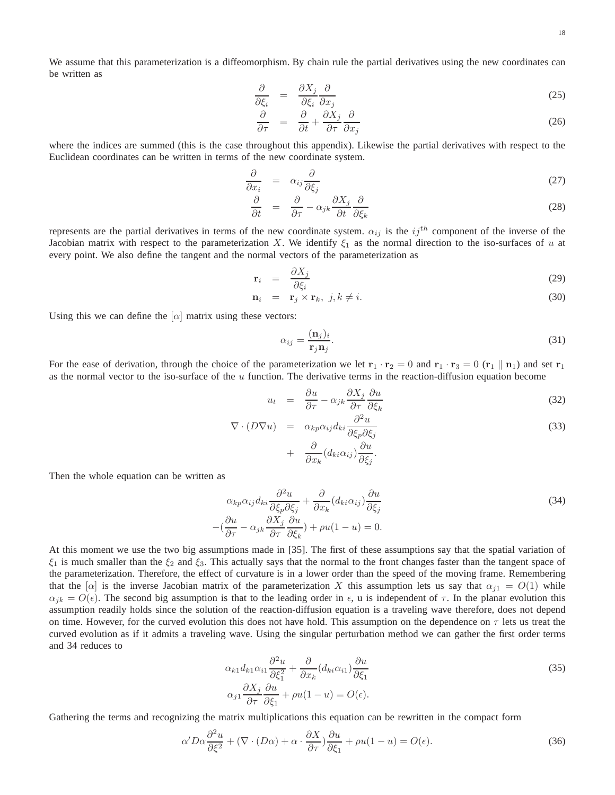We assume that this parameterization is a diffeomorphism. By chain rule the partial derivatives using the new coordinates can be written as

$$
\frac{\partial}{\partial \xi_i} = \frac{\partial X_j}{\partial \xi_i} \frac{\partial}{\partial x_j} \tag{25}
$$

$$
\frac{\partial \xi_i}{\partial \tau} = \frac{\partial \xi_i}{\partial t} + \frac{\partial X_j}{\partial \tau} \frac{\partial}{\partial x_j} \tag{26}
$$

where the indices are summed (this is the case throughout this appendix). Likewise the partial derivatives with respect to the Euclidean coordinates can be written in terms of the new coordinate system.

$$
\frac{\partial}{\partial x_i} = \alpha_{ij} \frac{\partial}{\partial \xi_j} \tag{27}
$$

$$
\frac{\partial}{\partial t} = \frac{\partial}{\partial \tau} - \alpha_{jk} \frac{\partial X_j}{\partial t} \frac{\partial}{\partial \xi_k} \tag{28}
$$

represents are the partial derivatives in terms of the new coordinate system.  $\alpha_{ij}$  is the  $ij^{th}$  component of the inverse of the Jacobian matrix with respect to the parameterization X. We identify  $\xi_1$  as the normal direction to the iso-surfaces of u at every point. We also define the tangent and the normal vectors of the parameterization as

$$
\mathbf{r}_i = \frac{\partial X_j}{\partial \xi_i} \tag{29}
$$

$$
\mathbf{n}_i = \mathbf{r}_j \times \mathbf{r}_k, \ j, k \neq i. \tag{30}
$$

Using this we can define the  $\alpha$  matrix using these vectors:

$$
\alpha_{ij} = \frac{(\mathbf{n}_j)_i}{\mathbf{r}_j \mathbf{n}_j}.\tag{31}
$$

For the ease of derivation, through the choice of the parameterization we let  $\mathbf{r}_1 \cdot \mathbf{r}_2 = 0$  and  $\mathbf{r}_1 \cdot \mathbf{r}_3 = 0$  ( $\mathbf{r}_1 \parallel \mathbf{n}_1$ ) and set  $\mathbf{r}_1$ as the normal vector to the iso-surface of the  $u$  function. The derivative terms in the reaction-diffusion equation become

$$
u_t = \frac{\partial u}{\partial \tau} - \alpha_{jk} \frac{\partial X_j}{\partial \tau} \frac{\partial u}{\partial \xi_k}
$$
\n(32)

$$
\nabla \cdot (D\nabla u) = \alpha_{kp}\alpha_{ij}d_{ki}\frac{\partial^2 u}{\partial \xi_p \partial \xi_j} \n+ \frac{\partial}{\partial x_k}(d_{ki}\alpha_{ij})\frac{\partial u}{\partial \xi_j}.
$$
\n(33)

Then the whole equation can be written as

$$
\alpha_{kp}\alpha_{ij}d_{ki}\frac{\partial^2 u}{\partial \xi_p \partial \xi_j} + \frac{\partial}{\partial x_k}(d_{ki}\alpha_{ij})\frac{\partial u}{\partial \xi_j} -(\frac{\partial u}{\partial \tau} - \alpha_{jk}\frac{\partial X_j}{\partial \tau}\frac{\partial u}{\partial \xi_k}) + \rho u(1-u) = 0.
$$
\n(34)

At this moment we use the two big assumptions made in [35]. The first of these assumptions say that the spatial variation of  $\xi_1$  is much smaller than the  $\xi_2$  and  $\xi_3$ . This actually says that the normal to the front changes faster than the tangent space of the parameterization. Therefore, the effect of curvature is in a lower order than the speed of the moving frame. Remembering that the  $[\alpha]$  is the inverse Jacobian matrix of the parameterization X this assumption lets us say that  $\alpha_{i1} = O(1)$  while  $\alpha_{ik} = O(\epsilon)$ . The second big assumption is that to the leading order in  $\epsilon$ , u is independent of  $\tau$ . In the planar evolution this assumption readily holds since the solution of the reaction-diffusion equation is a traveling wave therefore, does not depend on time. However, for the curved evolution this does not have hold. This assumption on the dependence on  $\tau$  lets us treat the curved evolution as if it admits a traveling wave. Using the singular perturbation method we can gather the first order terms and 34 reduces to

$$
\alpha_{k1} d_{k1} \alpha_{i1} \frac{\partial^2 u}{\partial \xi_1^2} + \frac{\partial}{\partial x_k} (d_{ki} \alpha_{i1}) \frac{\partial u}{\partial \xi_1} \n\alpha_{j1} \frac{\partial X_j}{\partial \tau} \frac{\partial u}{\partial \xi_1} + \rho u (1 - u) = O(\epsilon).
$$
\n(35)

Gathering the terms and recognizing the matrix multiplications this equation can be rewritten in the compact form

$$
\alpha' D \alpha \frac{\partial^2 u}{\partial \xi^2} + (\nabla \cdot (D \alpha) + \alpha \cdot \frac{\partial X}{\partial \tau}) \frac{\partial u}{\partial \xi_1} + \rho u (1 - u) = O(\epsilon). \tag{36}
$$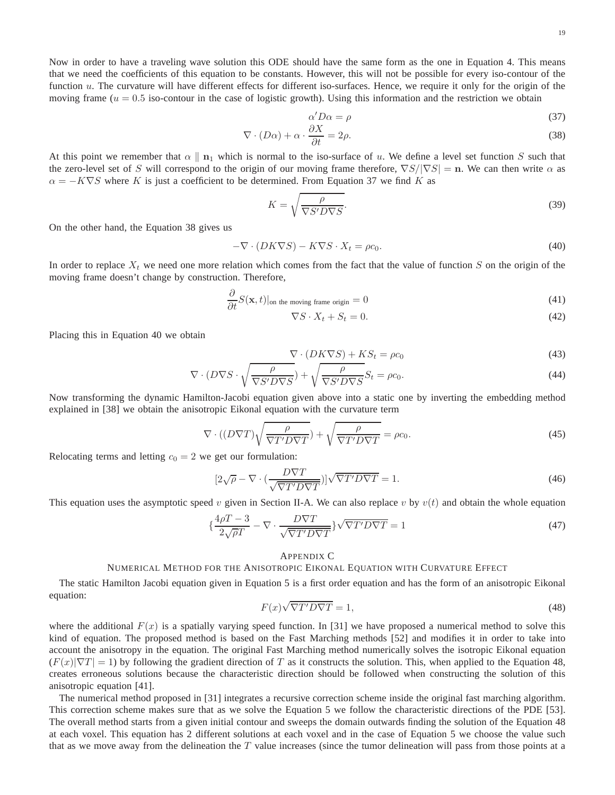Now in order to have a traveling wave solution this ODE should have the same form as the one in Equation 4. This means that we need the coefficients of this equation to be constants. However, this will not be possible for every iso-contour of the function u. The curvature will have different effects for different iso-surfaces. Hence, we require it only for the origin of the moving frame ( $u = 0.5$  iso-contour in the case of logistic growth). Using this information and the restriction we obtain

$$
\alpha' D \alpha = \rho \tag{37}
$$

$$
\nabla \cdot (D\alpha) + \alpha \cdot \frac{\partial X}{\partial t} = 2\rho. \tag{38}
$$

At this point we remember that  $\alpha \parallel n_1$  which is normal to the iso-surface of u. We define a level set function S such that the zero-level set of S will correspond to the origin of our moving frame therefore,  $\nabla S/|\nabla S| = \mathbf{n}$ . We can then write  $\alpha$  as  $\alpha = -K\nabla S$  where K is just a coefficient to be determined. From Equation 37 we find K as

$$
K = \sqrt{\frac{\rho}{\nabla S' D \nabla S}}.\tag{39}
$$

On the other hand, the Equation 38 gives us

$$
-\nabla \cdot (DK\nabla S) - K\nabla S \cdot X_t = \rho c_0. \tag{40}
$$

In order to replace  $X_t$  we need one more relation which comes from the fact that the value of function S on the origin of the moving frame doesn't change by construction. Therefore,

$$
\frac{\partial}{\partial t} S(\mathbf{x}, t)|_{\text{on the moving frame origin}} = 0 \tag{41}
$$

$$
\nabla S \cdot X_t + S_t = 0. \tag{42}
$$

Placing this in Equation 40 we obtain

$$
\nabla \cdot (DK\nabla S) + KS_t = \rho c_0 \tag{43}
$$

$$
\nabla \cdot (D \nabla S \cdot \sqrt{\frac{\rho}{\nabla S' D \nabla S}}) + \sqrt{\frac{\rho}{\nabla S' D \nabla S}} S_t = \rho c_0.
$$
\n(44)

Now transforming the dynamic Hamilton-Jacobi equation given above into a static one by inverting the embedding method explained in [38] we obtain the anisotropic Eikonal equation with the curvature term

$$
\nabla \cdot ((D\nabla T)\sqrt{\frac{\rho}{\nabla T'D\nabla T}}) + \sqrt{\frac{\rho}{\nabla T'D\nabla T}} = \rho c_0.
$$
\n(45)

Relocating terms and letting  $c_0 = 2$  we get our formulation:

$$
[2\sqrt{\rho} - \nabla \cdot (\frac{D\nabla T}{\sqrt{\nabla T'D\nabla T}})]\sqrt{\nabla T'D\nabla T} = 1.
$$
\n(46)

This equation uses the asymptotic speed v given in Section II-A. We can also replace v by  $v(t)$  and obtain the whole equation

$$
\left\{\frac{4\rho T - 3}{2\sqrt{\rho}T} - \nabla \cdot \frac{D\nabla T}{\sqrt{\nabla T'D\nabla T}}\right\} \sqrt{\nabla T'D\nabla T} = 1\tag{47}
$$

#### APPENDIX C

#### NUMERICAL METHOD FOR THE ANISOTROPIC EIKONAL EQUATION WITH CURVATURE EFFECT

The static Hamilton Jacobi equation given in Equation 5 is a first order equation and has the form of an anisotropic Eikonal equation:

$$
F(x)\sqrt{\nabla T'D\nabla T} = 1,\t\t(48)
$$

where the additional  $F(x)$  is a spatially varying speed function. In [31] we have proposed a numerical method to solve this kind of equation. The proposed method is based on the Fast Marching methods [52] and modifies it in order to take into account the anisotropy in the equation. The original Fast Marching method numerically solves the isotropic Eikonal equation  $(F(x)|\nabla T| = 1)$  by following the gradient direction of T as it constructs the solution. This, when applied to the Equation 48, creates erroneous solutions because the characteristic direction should be followed when constructing the solution of this anisotropic equation [41].

The numerical method proposed in [31] integrates a recursive correction scheme inside the original fast marching algorithm. This correction scheme makes sure that as we solve the Equation 5 we follow the characteristic directions of the PDE [53]. The overall method starts from a given initial contour and sweeps the domain outwards finding the solution of the Equation 48 at each voxel. This equation has 2 different solutions at each voxel and in the case of Equation 5 we choose the value such that as we move away from the delineation the  $T$  value increases (since the tumor delineation will pass from those points at a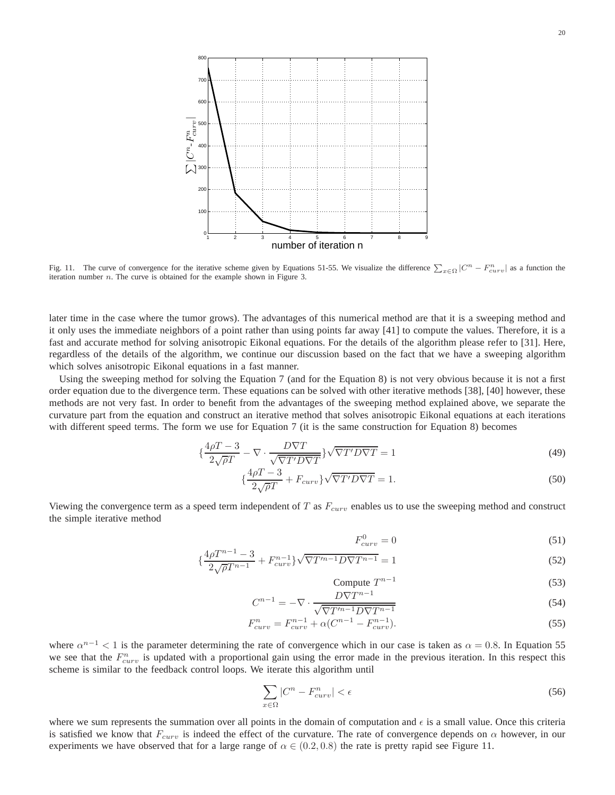

Fig. 11. The curve of convergence for the iterative scheme given by Equations 51-55. We visualize the difference  $\sum_{x \in \Omega} |C^n - F_{curv}^n|$  as a function the iteration number n. The curve is obtained for the example shown in Figure 3.

later time in the case where the tumor grows). The advantages of this numerical method are that it is a sweeping method and it only uses the immediate neighbors of a point rather than using points far away [41] to compute the values. Therefore, it is a fast and accurate method for solving anisotropic Eikonal equations. For the details of the algorithm please refer to [31]. Here, regardless of the details of the algorithm, we continue our discussion based on the fact that we have a sweeping algorithm which solves anisotropic Eikonal equations in a fast manner.

Using the sweeping method for solving the Equation 7 (and for the Equation 8) is not very obvious because it is not a first order equation due to the divergence term. These equations can be solved with other iterative methods [38], [40] however, these methods are not very fast. In order to benefit from the advantages of the sweeping method explained above, we separate the curvature part from the equation and construct an iterative method that solves anisotropic Eikonal equations at each iterations with different speed terms. The form we use for Equation 7 (it is the same construction for Equation 8) becomes

$$
\left\{\frac{4\rho T - 3}{2\sqrt{\rho}T} - \nabla \cdot \frac{D\nabla T}{\sqrt{\nabla T'D\nabla T}}\right\} \sqrt{\nabla T'D\nabla T} = 1\tag{49}
$$

$$
\left\{\frac{4\rho T - 3}{2\sqrt{\rho T}} + F_{curv}\right\} \sqrt{\nabla T'D\nabla T} = 1.
$$
\n(50)

Viewing the convergence term as a speed term independent of T as  $F_{curv}$  enables us to use the sweeping method and construct the simple iterative method

$$
F_{curv}^0 = 0 \tag{51}
$$

$$
\left\{\frac{4\rho T^{n-1} - 3}{2\sqrt{\rho}T^{n-1}} + F_{curv}^{n-1}\right\} \sqrt{\nabla T^{n-1}D\nabla T^{n-1}} = 1\tag{52}
$$

Compute 
$$
T^{n-1}
$$
 (53)

$$
C^{n-1} = -\nabla \cdot \frac{D\nabla T^{n-1}}{\sqrt{\nabla T^{n-1} D \nabla T^{n-1}}} \tag{54}
$$

$$
F_{curv}^{n} = F_{curv}^{n-1} + \alpha (C^{n-1} - F_{curv}^{n-1}).
$$
\n(55)

where  $\alpha^{n-1}$  < 1 is the parameter determining the rate of convergence which in our case is taken as  $\alpha = 0.8$ . In Equation 55 we see that the  $F_{curv}^n$  is updated with a proportional gain using the error made in the previous iteration. In this respect this scheme is similar to the feedback control loops. We iterate this algorithm until

$$
\sum_{x \in \Omega} |C^n - F_{curv}^n| < \epsilon \tag{56}
$$

where we sum represents the summation over all points in the domain of computation and  $\epsilon$  is a small value. Once this criteria is satisfied we know that  $F_{curv}$  is indeed the effect of the curvature. The rate of convergence depends on  $\alpha$  however, in our experiments we have observed that for a large range of  $\alpha \in (0.2, 0.8)$  the rate is pretty rapid see Figure 11.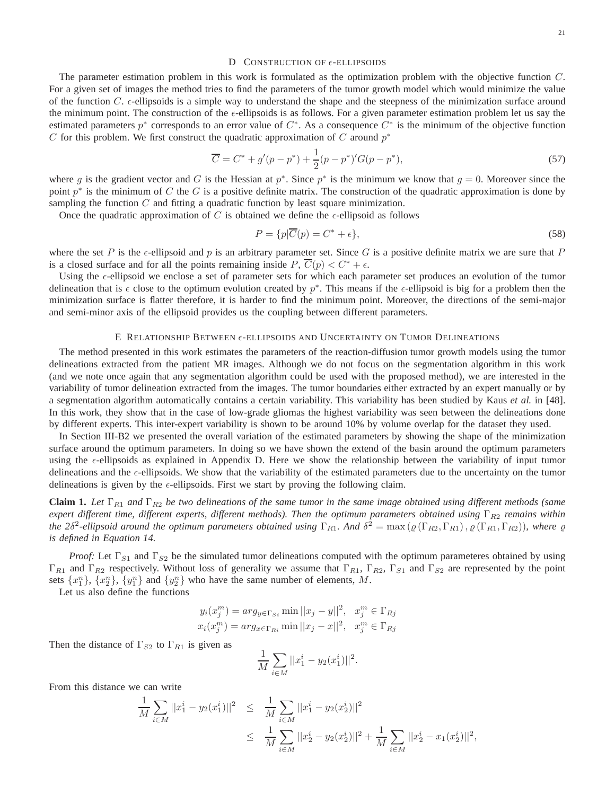#### D CONSTRUCTION OF  $\epsilon$ -ELLIPSOIDS

The parameter estimation problem in this work is formulated as the optimization problem with the objective function C. For a given set of images the method tries to find the parameters of the tumor growth model which would minimize the value of the function C.  $\epsilon$ -ellipsoids is a simple way to understand the shape and the steepness of the minimization surface around the minimum point. The construction of the  $\epsilon$ -ellipsoids is as follows. For a given parameter estimation problem let us say the estimated parameters  $p^*$  corresponds to an error value of  $C^*$ . As a consequence  $C^*$  is the minimum of the objective function C for this problem. We first construct the quadratic approximation of C around  $p^*$ 

$$
\overline{C} = C^* + g'(p - p^*) + \frac{1}{2}(p - p^*)'G(p - p^*),\tag{57}
$$

where g is the gradient vector and G is the Hessian at  $p^*$ . Since  $p^*$  is the minimum we know that  $g = 0$ . Moreover since the point  $p^*$  is the minimum of C the G is a positive definite matrix. The construction of the quadratic approximation is done by sampling the function  $C$  and fitting a quadratic function by least square minimization.

Once the quadratic approximation of  $C$  is obtained we define the  $\epsilon$ -ellipsoid as follows

$$
P = \{p|\overline{C}(p) = C^* + \epsilon\},\tag{58}
$$

where the set P is the  $\epsilon$ -ellipsoid and p is an arbitrary parameter set. Since G is a positive definite matrix we are sure that P is a closed surface and for all the points remaining inside  $P, \overline{C}(p) < C^* + \epsilon$ .

Using the  $\epsilon$ -ellipsoid we enclose a set of parameter sets for which each parameter set produces an evolution of the tumor delineation that is  $\epsilon$  close to the optimum evolution created by  $p^*$ . This means if the  $\epsilon$ -ellipsoid is big for a problem then the minimization surface is flatter therefore, it is harder to find the minimum point. Moreover, the directions of the semi-major and semi-minor axis of the ellipsoid provides us the coupling between different parameters.

#### E RELATIONSHIP BETWEEN  $\epsilon$ -ELLIPSOIDS AND UNCERTAINTY ON TUMOR DELINEATIONS

The method presented in this work estimates the parameters of the reaction-diffusion tumor growth models using the tumor delineations extracted from the patient MR images. Although we do not focus on the segmentation algorithm in this work (and we note once again that any segmentation algorithm could be used with the proposed method), we are interested in the variability of tumor delineation extracted from the images. The tumor boundaries either extracted by an expert manually or by a segmentation algorithm automatically contains a certain variability. This variability has been studied by Kaus *et al.* in [48]. In this work, they show that in the case of low-grade gliomas the highest variability was seen between the delineations done by different experts. This inter-expert variability is shown to be around 10% by volume overlap for the dataset they used.

In Section III-B2 we presented the overall variation of the estimated parameters by showing the shape of the minimization surface around the optimum parameters. In doing so we have shown the extend of the basin around the optimum parameters using the  $\epsilon$ -ellipsoids as explained in Appendix D. Here we show the relationship between the variability of input tumor delineations and the  $\epsilon$ -ellipsoids. We show that the variability of the estimated parameters due to the uncertainty on the tumor delineations is given by the  $\epsilon$ -ellipsoids. First we start by proving the following claim.

**Claim 1.** Let  $\Gamma_{R1}$  and  $\Gamma_{R2}$  be two delineations of the same tumor in the same image obtained using different methods (same *expert different time, different experts, different methods). Then the optimum parameters obtained using*  $\Gamma_{R2}$  *remains within the 2δ*<sup>2</sup>-ellipsoid around the optimum parameters obtained using  $\Gamma_{R1}$ . And  $\delta^2 = \max(\varrho(\Gamma_{R2},\Gamma_{R1}),\varrho(\Gamma_{R1},\Gamma_{R2}))$ , where  $\varrho$ *is defined in Equation 14.*

*Proof:* Let  $\Gamma_{S1}$  and  $\Gamma_{S2}$  be the simulated tumor delineations computed with the optimum parameteres obtained by using  $\Gamma_{R1}$  and  $\Gamma_{R2}$  respectively. Without loss of generality we assume that  $\Gamma_{R1}$ ,  $\Gamma_{R2}$ ,  $\Gamma_{S1}$  and  $\Gamma_{S2}$  are represented by the point sets  $\{x_1^n\}$ ,  $\{x_2^n\}$ ,  $\{y_1^n\}$  and  $\{y_2^n\}$  who have the same number of elements, M.

Let us also define the functions

$$
y_i(x_j^m) = arg_{y \in \Gamma_{S_i}} \min ||x_j - y||^2, \quad x_j^m \in \Gamma_{Rj}
$$

$$
x_i(x_j^m) = arg_{x \in \Gamma_{Ri}} \min ||x_j - x||^2, \quad x_j^m \in \Gamma_{Rj}
$$

Then the distance of  $\Gamma_{S2}$  to  $\Gamma_{R1}$  is given as

$$
\frac{1}{M} \sum_{i \in M} ||x_1^i - y_2(x_1^i)||^2
$$

.

From this distance we can write

$$
\frac{1}{M} \sum_{i \in M} ||x_1^i - y_2(x_1^i)||^2 \leq \frac{1}{M} \sum_{i \in M} ||x_1^i - y_2(x_2^i)||^2
$$
  

$$
\leq \frac{1}{M} \sum_{i \in M} ||x_2^i - y_2(x_2^i)||^2 + \frac{1}{M} \sum_{i \in M} ||x_2^i - x_1(x_2^i)||^2,
$$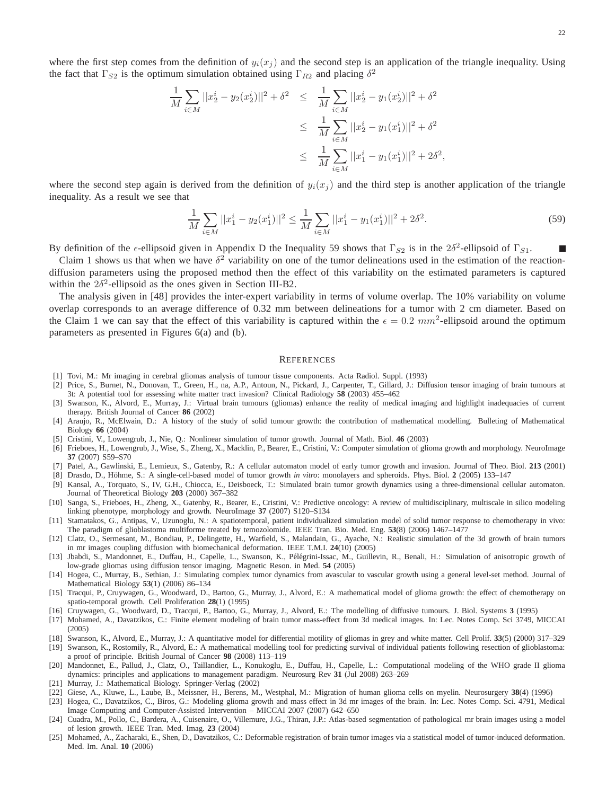where the first step comes from the definition of  $y_i(x_j)$  and the second step is an application of the triangle inequality. Using the fact that  $\Gamma_{S2}$  is the optimum simulation obtained using  $\Gamma_{R2}$  and placing  $\delta^2$ 

$$
\frac{1}{M} \sum_{i \in M} ||x_2^i - y_2(x_2^i)||^2 + \delta^2 \le \frac{1}{M} \sum_{i \in M} ||x_2^i - y_1(x_2^i)||^2 + \delta^2
$$
\n
$$
\le \frac{1}{M} \sum_{i \in M} ||x_2^i - y_1(x_1^i)||^2 + \delta^2
$$
\n
$$
\le \frac{1}{M} \sum_{i \in M} ||x_1^i - y_1(x_1^i)||^2 + 2\delta^2,
$$

where the second step again is derived from the definition of  $y_i(x_i)$  and the third step is another application of the triangle inequality. As a result we see that

$$
\frac{1}{M} \sum_{i \in M} ||x_1^i - y_2(x_1^i)||^2 \le \frac{1}{M} \sum_{i \in M} ||x_1^i - y_1(x_1^i)||^2 + 2\delta^2.
$$
\n(59)

By definition of the  $\epsilon$ -ellipsoid given in Appendix D the Inequality 59 shows that  $\Gamma_{S2}$  is in the  $2\delta^2$ -ellipsoid of  $\Gamma_{S1}$ .

Claim 1 shows us that when we have  $\delta^2$  variability on one of the tumor delineations used in the estimation of the reactiondiffusion parameters using the proposed method then the effect of this variability on the estimated parameters is captured within the  $2\delta^2$ -ellipsoid as the ones given in Section III-B2.

The analysis given in [48] provides the inter-expert variability in terms of volume overlap. The 10% variability on volume overlap corresponds to an average difference of 0.32 mm between delineations for a tumor with 2 cm diameter. Based on the Claim 1 we can say that the effect of this variability is captured within the  $\epsilon = 0.2$  mm<sup>2</sup>-ellipsoid around the optimum parameters as presented in Figures 6(a) and (b).

#### **REFERENCES**

- [1] Tovi, M.: Mr imaging in cerebral gliomas analysis of tumour tissue components. Acta Radiol. Suppl. (1993)
- [2] Price, S., Burnet, N., Donovan, T., Green, H., na, A.P., Antoun, N., Pickard, J., Carpenter, T., Gillard, J.: Diffusion tensor imaging of brain tumours at 3t: A potential tool for assessing white matter tract invasion? Clinical Radiology **58** (2003) 455–462
- [3] Swanson, K., Alvord, E., Murray, J.: Virtual brain tumours (gliomas) enhance the reality of medical imaging and highlight inadequacies of current therapy. British Journal of Cancer **86** (2002)
- [4] Araujo, R., McElwain, D.: A history of the study of solid tumour growth: the contribution of mathematical modelling. Bulleting of Mathematical Biology **66** (2004)
- [5] Cristini, V., Lowengrub, J., Nie, Q.: Nonlinear simulation of tumor growth. Journal of Math. Biol. **46** (2003)
- [6] Frieboes, H., Lowengrub, J., Wise, S., Zheng, X., Macklin, P., Bearer, E., Cristini, V.: Computer simulation of glioma growth and morphology. NeuroImage **37** (2007) S59–S70
- [7] Patel, A., Gawlinski, E., Lemieux, S., Gatenby, R.: A cellular automaton model of early tumor growth and invasion. Journal of Theo. Biol. **213** (2001)
- [8] Drasdo, D., H¨ohme, S.: A single-cell-based model of tumor growth *in vitro*: monolayers and spheroids. Phys. Biol. **2** (2005) 133–147 [9] Kansal, A., Torquato, S., IV, G.H., Chiocca, E., Deisboeck, T.: Simulated brain tumor growth dynamics using a three-dimensional cellular automaton.
- Journal of Theoretical Biology **203** (2000) 367–382
- [10] Sanga, S., Frieboes, H., Zheng, X., Gatenby, R., Bearer, E., Cristini, V.: Predictive oncology: A review of multidisciplinary, multiscale in silico modeling linking phenotype, morphology and growth. NeuroImage **37** (2007) S120–S134
- [11] Stamatakos, G., Antipas, V., Uzunoglu, N.: A spatiotemporal, patient individualized simulation model of solid tumor response to chemotherapy in vivo: The paradigm of glioblastoma multiforme treated by temozolomide. IEEE Tran. Bio. Med. Eng. **53**(8) (2006) 1467–1477
- [12] Clatz, O., Sermesant, M., Bondiau, P., Delingette, H., Warfield, S., Malandain, G., Ayache, N.: Realistic simulation of the 3d growth of brain tumors in mr images coupling diffusion with biomechanical deformation. IEEE T.M.I. **24**(10) (2005)
- [13] Jbabdi, S., Mandonnet, E., Duffau, H., Capelle, L., Swanson, K., Pélégrini-Issac, M., Guillevin, R., Benali, H.: Simulation of anisotropic growth of low-grade gliomas using diffusion tensor imaging. Magnetic Reson. in Med. **54** (2005)
- [14] Hogea, C., Murray, B., Sethian, J.: Simulating complex tumor dynamics from avascular to vascular growth using a general level-set method. Journal of Mathematical Biology **53**(1) (2006) 86–134
- [15] Tracqui, P., Cruywagen, G., Woodward, D., Bartoo, G., Murray, J., Alvord, E.: A mathematical model of glioma growth: the effect of chemotherapy on spatio-temporal growth. Cell Proliferation **28**(1) (1995)
- [16] Cruywagen, G., Woodward, D., Tracqui, P., Bartoo, G., Murray, J., Alvord, E.: The modelling of diffusive tumours. J. Biol. Systems **3** (1995)
- [17] Mohamed, A., Davatzikos, C.: Finite element modeling of brain tumor mass-effect from 3d medical images. In: Lec. Notes Comp. Sci 3749, MICCAI (2005)
- [18] Swanson, K., Alvord, E., Murray, J.: A quantitative model for differential motility of gliomas in grey and white matter. Cell Prolif. **33**(5) (2000) 317–329
- [19] Swanson, K., Rostomily, R., Alvord, E.: A mathematical modelling tool for predicting survival of individual patients following resection of glioblastoma: a proof of principle. British Journal of Cancer **98** (2008) 113–119
- [20] Mandonnet, E., Pallud, J., Clatz, O., Taillandier, L., Konukoglu, E., Duffau, H., Capelle, L.: Computational modeling of the WHO grade II glioma dynamics: principles and applications to management paradigm. Neurosurg Rev **31** (Jul 2008) 263–269
- [21] Murray, J.: Mathematical Biology. Springer-Verlag (2002)
- [22] Giese, A., Kluwe, L., Laube, B., Meissner, H., Berens, M., Westphal, M.: Migration of human glioma cells on myelin. Neurosurgery **38**(4) (1996)
- [23] Hogea, C., Davatzikos, C., Biros, G.: Modeling glioma growth and mass effect in 3d mr images of the brain. In: Lec. Notes Comp. Sci. 4791, Medical Image Computing and Computer-Assisted Intervention – MICCAI 2007 (2007) 642–650
- [24] Cuadra, M., Pollo, C., Bardera, A., Cuisenaire, O., Villemure, J.G., Thiran, J.P.: Atlas-based segmentation of pathological mr brain images using a model of lesion growth. IEEE Tran. Med. Imag. **23** (2004)
- [25] Mohamed, A., Zacharaki, E., Shen, D., Davatzikos, C.: Deformable registration of brain tumor images via a statistical model of tumor-induced deformation. Med. Im. Anal. **10** (2006)